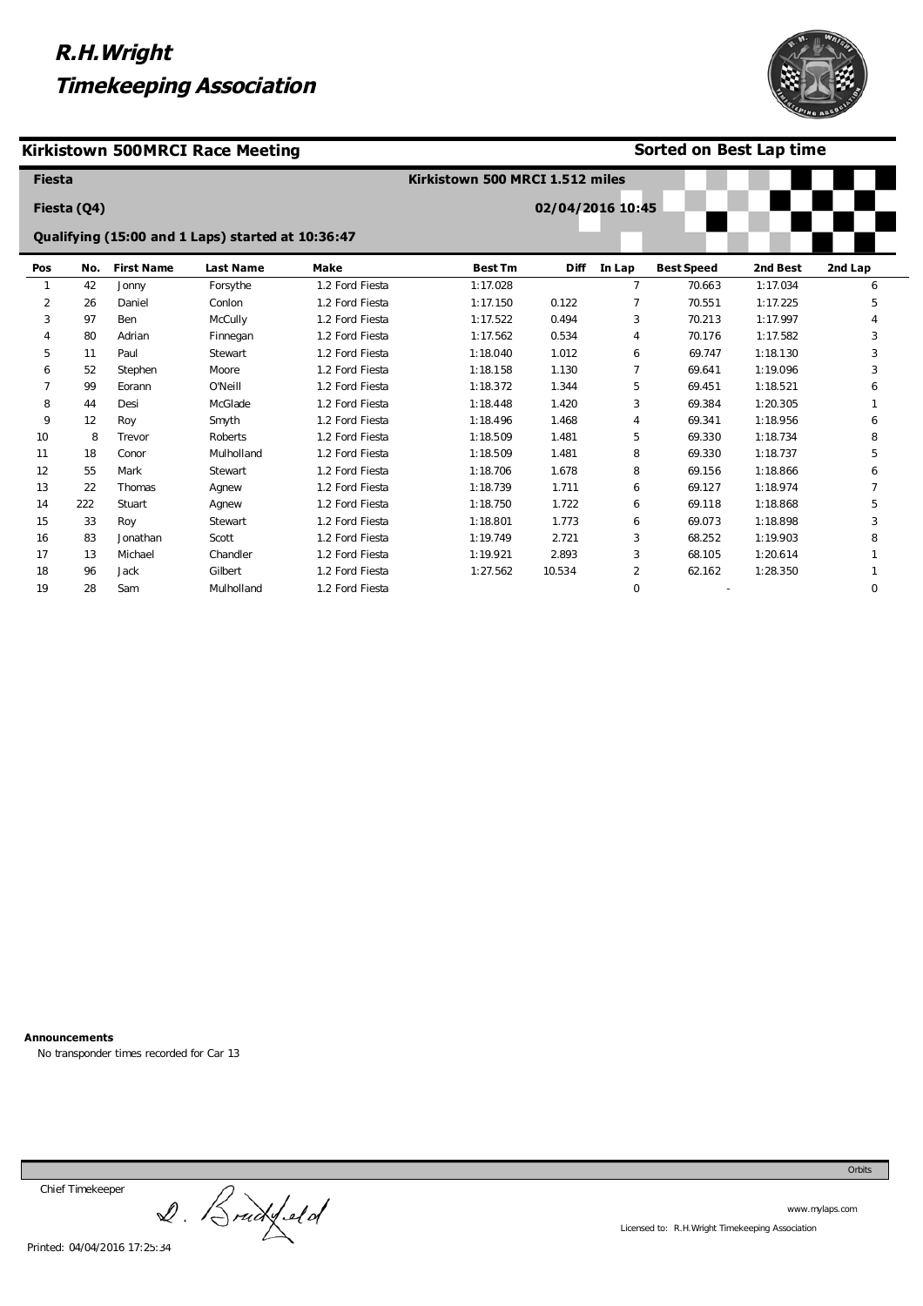



### **Sorted on Best Lap time**

| <b>Fiesta</b> |             |                   |                                                   |                 | Kirkistown 500 MRCI 1.512 miles |                  |                |                   |          |          |
|---------------|-------------|-------------------|---------------------------------------------------|-----------------|---------------------------------|------------------|----------------|-------------------|----------|----------|
|               | Fiesta (Q4) |                   |                                                   |                 |                                 | 02/04/2016 10:45 |                |                   |          |          |
|               |             |                   | Qualifying (15:00 and 1 Laps) started at 10:36:47 |                 |                                 |                  |                |                   |          |          |
| Pos           | No.         | <b>First Name</b> | <b>Last Name</b>                                  | <b>Make</b>     | <b>Best Tm</b>                  | <b>Diff</b>      | In Lap         | <b>Best Speed</b> | 2nd Best | 2nd Lap  |
|               | 42          | Jonny             | Forsythe                                          | 1.2 Ford Fiesta | 1:17.028                        |                  | $\overline{7}$ | 70.663            | 1:17.034 | 6        |
| 2             | 26          | Daniel            | Conlon                                            | 1.2 Ford Fiesta | 1:17.150                        | 0.122            | 7              | 70.551            | 1:17.225 | 5        |
| 3             | 97          | Ben               | McCully                                           | 1.2 Ford Fiesta | 1:17.522                        | 0.494            | 3              | 70.213            | 1:17.997 |          |
| 4             | 80          | Adrian            | Finnegan                                          | 1.2 Ford Fiesta | 1:17.562                        | 0.534            | 4              | 70.176            | 1:17.582 | 3        |
| 5             | 11          | Paul              | Stewart                                           | 1.2 Ford Fiesta | 1:18.040                        | 1.012            | 6              | 69.747            | 1:18.130 | 3        |
| 6             | 52          | Stephen           | Moore                                             | 1.2 Ford Fiesta | 1:18.158                        | 1.130            |                | 69.641            | 1:19.096 | 3        |
| 7             | 99          | Eorann            | O'Neill                                           | 1.2 Ford Fiesta | 1:18.372                        | 1.344            | 5              | 69.451            | 1:18.521 | 6        |
| 8             | 44          | Desi              | McGlade                                           | 1.2 Ford Fiesta | 1:18.448                        | 1.420            | 3              | 69.384            | 1:20.305 |          |
| 9             | 12          | Roy               | Smyth                                             | 1.2 Ford Fiesta | 1:18.496                        | 1.468            | 4              | 69.341            | 1:18.956 | 6        |
| 10            | 8           | Trevor            | Roberts                                           | 1.2 Ford Fiesta | 1:18.509                        | 1.481            | 5              | 69.330            | 1:18.734 | 8        |
| 11            | 18          | Conor             | Mulholland                                        | 1.2 Ford Fiesta | 1:18.509                        | 1.481            | 8              | 69.330            | 1:18.737 | 5        |
| 12            | 55          | Mark              | Stewart                                           | 1.2 Ford Fiesta | 1:18.706                        | 1.678            | 8              | 69.156            | 1:18.866 | 6        |
| 13            | 22          | Thomas            | Agnew                                             | 1.2 Ford Fiesta | 1:18.739                        | 1.711            | 6              | 69.127            | 1:18.974 |          |
| 14            | 222         | Stuart            | Agnew                                             | 1.2 Ford Fiesta | 1:18.750                        | 1.722            | 6              | 69.118            | 1:18.868 | 5        |
| 15            | 33          | Roy               | Stewart                                           | 1.2 Ford Fiesta | 1:18.801                        | 1.773            | 6              | 69.073            | 1:18.898 | 3        |
| 16            | 83          | Jonathan          | Scott                                             | 1.2 Ford Fiesta | 1:19.749                        | 2.721            | 3              | 68.252            | 1:19.903 | 8        |
| 17            | 13          | Michael           | Chandler                                          | 1.2 Ford Fiesta | 1:19.921                        | 2.893            | 3              | 68.105            | 1:20.614 |          |
| 18            | 96          | Jack              | Gilbert                                           | 1.2 Ford Fiesta | 1:27.562                        | 10.534           | 2              | 62.162            | 1:28.350 |          |
| 19            | 28          | Sam               | Mulholland                                        | 1.2 Ford Fiesta |                                 |                  | $\Omega$       |                   |          | $\Omega$ |

**Announcements** 

No transponder times recorded for Car 13

Chief Timekeeper

Chief Timekeeper<br>2. Bruckfeld

www.mylaps.com Licensed to: R.H.Wright Timekeeping Association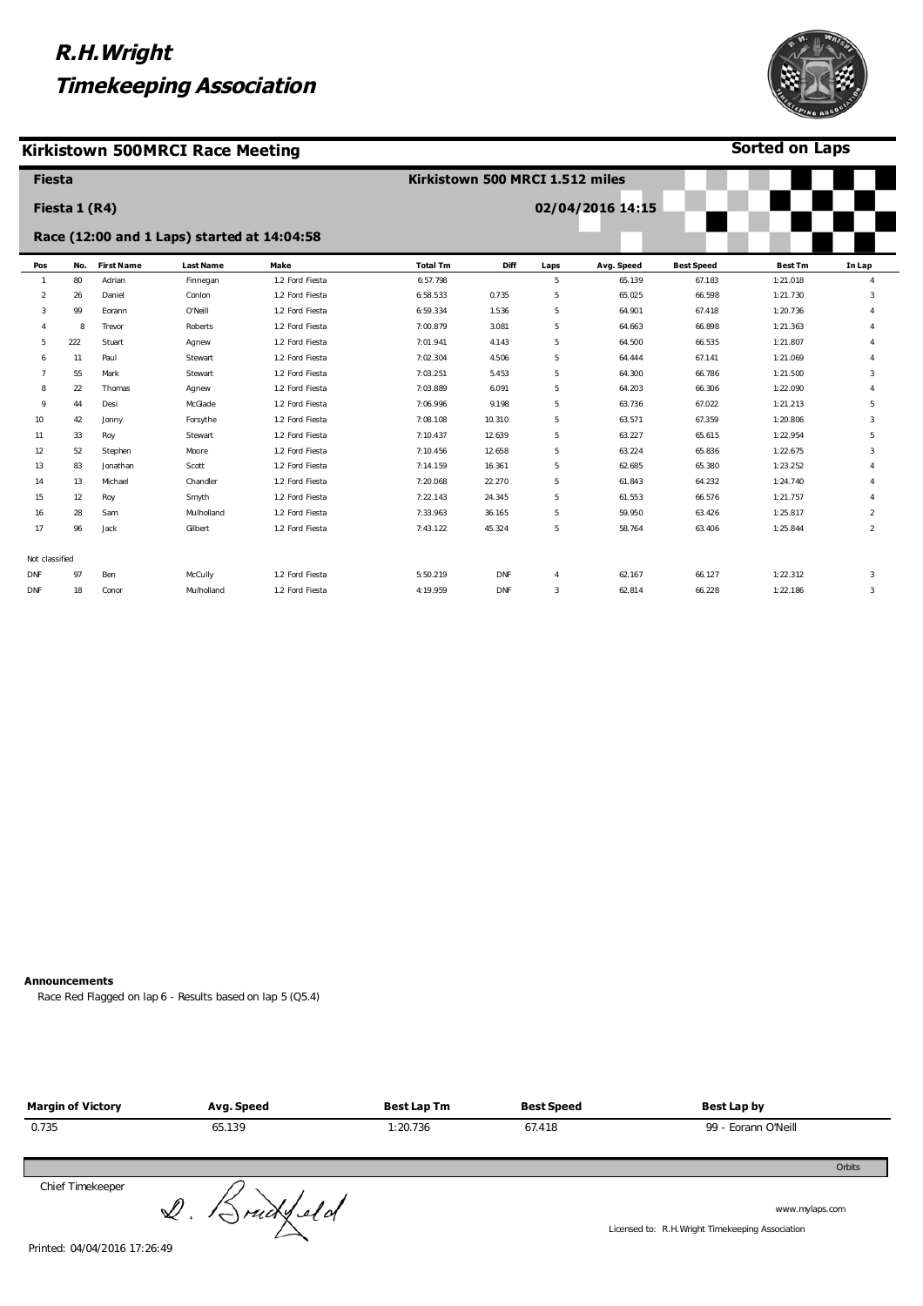### **Kirkistown 500MRCI Race Meeting**



**Sorted on Laps**

| <b>Fiesta</b>  |               |                   |                                             |                 | Kirkistown 500 MRCI 1.512 miles |            |                |                  |                   |                |                |
|----------------|---------------|-------------------|---------------------------------------------|-----------------|---------------------------------|------------|----------------|------------------|-------------------|----------------|----------------|
|                | Fiesta 1 (R4) |                   |                                             |                 |                                 |            |                | 02/04/2016 14:15 |                   |                |                |
|                |               |                   | Race (12:00 and 1 Laps) started at 14:04:58 |                 |                                 |            |                |                  |                   |                |                |
| Pos            | No.           | <b>First Name</b> | <b>Last Name</b>                            | Make            | <b>Total Tm</b>                 | Diff       | Laps           | Avg. Speed       | <b>Best Speed</b> | <b>Best Tm</b> | In Lap         |
|                | 80            | Adrian            | Finnegan                                    | 1.2 Ford Fiesta | 6:57.798                        |            | 5              | 65.139           | 67.183            | 1:21.018       | 4              |
| $\overline{2}$ | 26            | Daniel            | Conlon                                      | 1.2 Ford Fiesta | 6:58.533                        | 0.735      | 5              | 65.025           | 66.598            | 1:21.730       | 3              |
| 3              | 99            | Eorann            | O'Neill                                     | 1.2 Ford Fiesta | 6:59.334                        | 1.536      | 5              | 64.901           | 67.418            | 1:20.736       | 4              |
|                | 8             | Trevor            | Roberts                                     | 1.2 Ford Fiesta | 7:00.879                        | 3.081      | 5              | 64.663           | 66.898            | 1:21.363       |                |
| 5              | 222           | Stuart            | Agnew                                       | 1.2 Ford Fiesta | 7:01.941                        | 4.143      | 5              | 64.500           | 66.535            | 1:21.807       | $\Delta$       |
| 6              | 11            | Paul              | Stewart                                     | 1.2 Ford Fiesta | 7:02.304                        | 4.506      | 5              | 64.444           | 67.141            | 1:21.069       | 4              |
|                | 55            | Mark              | Stewart                                     | 1.2 Ford Fiesta | 7:03.251                        | 5.453      | 5              | 64.300           | 66.786            | 1:21.500       | 3              |
| 8              | 22            | Thomas            | Agnew                                       | 1.2 Ford Fiesta | 7:03.889                        | 6.091      | 5              | 64.203           | 66.306            | 1:22.090       | 4              |
| 9              | 44            | Desi              | McGlade                                     | 1.2 Ford Fiesta | 7:06.996                        | 9.198      | 5              | 63.736           | 67.022            | 1:21.213       | 5              |
| 10             | 42            | Jonny             | Forsythe                                    | 1.2 Ford Fiesta | 7:08.108                        | 10.310     | 5              | 63.571           | 67.359            | 1:20.806       | 3              |
| 11             | 33            | Roy               | Stewart                                     | 1.2 Ford Fiesta | 7:10.437                        | 12.639     | 5              | 63.227           | 65.615            | 1:22.954       | 5              |
| 12             | 52            | Stephen           | Moore                                       | 1.2 Ford Fiesta | 7:10.456                        | 12.658     | 5              | 63.224           | 65.836            | 1:22.675       | 3              |
| 13             | 83            | Jonathan          | Scott                                       | 1.2 Ford Fiesta | 7:14.159                        | 16.361     | 5              | 62.685           | 65.380            | 1:23.252       | 4              |
| 14             | 13            | Michael           | Chandler                                    | 1.2 Ford Fiesta | 7:20.068                        | 22.270     | 5              | 61.843           | 64.232            | 1:24.740       | 4              |
| 15             | 12            | Roy               | Smyth                                       | 1.2 Ford Fiesta | 7:22.143                        | 24.345     | 5              | 61.553           | 66.576            | 1:21.757       | $\Delta$       |
| 16             | 28            | Sam               | Mulholland                                  | 1.2 Ford Fiesta | 7:33.963                        | 36.165     | 5              | 59.950           | 63.426            | 1:25.817       | $\overline{2}$ |
| 17             | 96            | Jack              | Gilbert                                     | 1.2 Ford Fiesta | 7:43.122                        | 45.324     | 5              | 58.764           | 63.406            | 1:25.844       | $\overline{2}$ |
| Not classified |               |                   |                                             |                 |                                 |            |                |                  |                   |                |                |
| <b>DNF</b>     | 97            | Ben               | McCully                                     | 1.2 Ford Fiesta | 5:50.219                        | <b>DNF</b> | $\overline{4}$ | 62.167           | 66.127            | 1:22.312       | 3              |
| DNF            | 18            | Conor             | Mulholland                                  | 1.2 Ford Fiesta | 4:19.959                        | DNF        | 3              | 62.814           | 66.228            | 1:22.186       | 3              |

#### **Announcements**

Race Red Flagged on lap 6 - Results based on lap 5 (Q5.4)

| <b>Margin of Victory</b> | Avg. Speed            | <b>Best Lap Tm</b> | <b>Best Speed</b> | Best Lap by                                                        |
|--------------------------|-----------------------|--------------------|-------------------|--------------------------------------------------------------------|
| 0.735                    | 65.139                | 1:20.736           | 67.418            | 99 - Eorann O'Neill                                                |
|                          |                       |                    |                   | Orbits                                                             |
| Chief Timekeeper         | $Q.$ $\beta$ ruckleld |                    |                   | www.mylaps.com<br>Licensed to: R.H. Wright Timekeeping Association |

Printed: 04/04/2016 17:26:49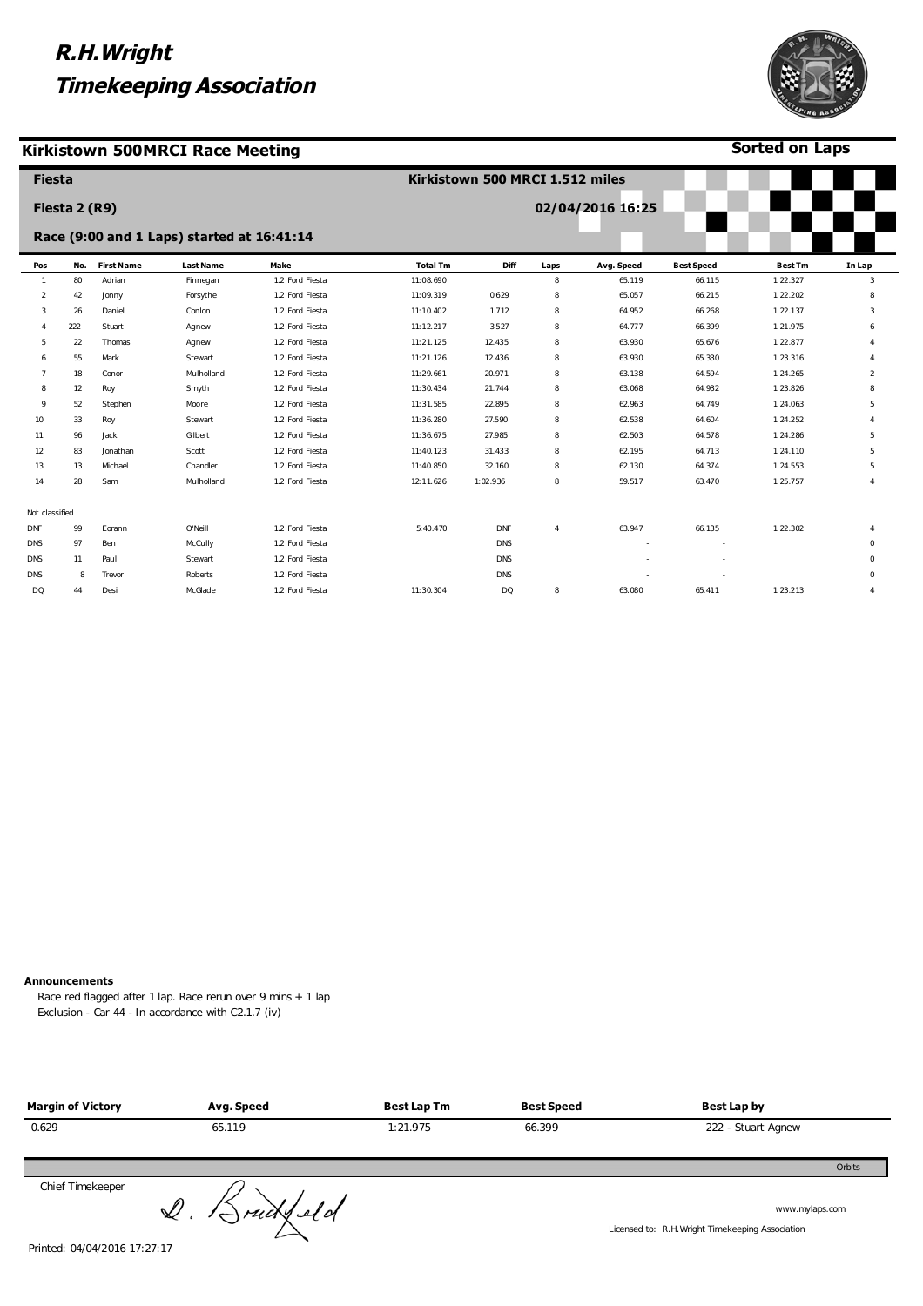### **Kirkistown 500MRCI Race Meeting**



**Sorted on Laps**

|                | <b>Fiesta</b> |                   |                                            |                 | Kirkistown 500 MRCI 1.512 miles |             |                |                  |                   |                |                |
|----------------|---------------|-------------------|--------------------------------------------|-----------------|---------------------------------|-------------|----------------|------------------|-------------------|----------------|----------------|
|                | Fiesta 2 (R9) |                   |                                            |                 |                                 |             |                | 02/04/2016 16:25 |                   |                |                |
|                |               |                   | Race (9:00 and 1 Laps) started at 16:41:14 |                 |                                 |             |                |                  |                   |                |                |
| Pos            | No.           | <b>First Name</b> | <b>Last Name</b>                           | Make            | <b>Total Tm</b>                 | <b>Diff</b> | Laps           | Avg. Speed       | <b>Best Speed</b> | <b>Best Tm</b> | In Lap         |
| $\mathbf{1}$   | 80            | Adrian            | Finnegan                                   | 1.2 Ford Fiesta | 11:08.690                       |             | 8              | 65.119           | 66.115            | 1:22.327       | 3              |
| $\overline{2}$ | 42            | Jonny             | Forsythe                                   | 1.2 Ford Fiesta | 11:09.319                       | 0.629       | 8              | 65.057           | 66.215            | 1:22.202       | 8              |
| 3              | 26            | Daniel            | Conlon                                     | 1.2 Ford Fiesta | 11:10.402                       | 1.712       | 8              | 64.952           | 66.268            | 1:22.137       | 3              |
|                | 222           | Stuart            | Agnew                                      | 1.2 Ford Fiesta | 11:12.217                       | 3.527       | 8              | 64.777           | 66.399            | 1:21.975       | 6              |
| 5              | 22            | Thomas            | Agnew                                      | 1.2 Ford Fiesta | 11:21.125                       | 12.435      | 8              | 63.930           | 65.676            | 1:22.877       | $\Delta$       |
| -6             | 55            | Mark              | Stewart                                    | 1.2 Ford Fiesta | 11:21.126                       | 12.436      | 8              | 63.930           | 65.330            | 1:23.316       |                |
|                | 18            | Conor             | Mulholland                                 | 1.2 Ford Fiesta | 11:29.661                       | 20.971      | 8              | 63.138           | 64.594            | 1:24.265       | $\overline{a}$ |
| 8              | 12            | Roy               | Smyth                                      | 1.2 Ford Fiesta | 11:30.434                       | 21.744      | 8              | 63.068           | 64.932            | 1:23.826       | 8              |
| 9              | 52            | Stephen           | Moore                                      | 1.2 Ford Fiesta | 11:31.585                       | 22.895      | 8              | 62.963           | 64.749            | 1:24.063       | 5              |
| 10             | 33            | Roy               | Stewart                                    | 1.2 Ford Fiesta | 11:36.280                       | 27.590      | 8              | 62.538           | 64.604            | 1:24.252       | $\overline{4}$ |
| 11             | 96            | Jack              | Gilbert                                    | 1.2 Ford Fiesta | 11:36.675                       | 27.985      | 8              | 62.503           | 64.578            | 1:24.286       | 5              |
| 12             | 83            | Jonathan          | Scott                                      | 1.2 Ford Fiesta | 11:40.123                       | 31.433      | 8              | 62.195           | 64.713            | 1:24.110       | 5              |
| 13             | 13            | Michael           | Chandler                                   | 1.2 Ford Fiesta | 11:40.850                       | 32.160      | 8              | 62.130           | 64.374            | 1:24.553       | 5              |
| 14             | 28            | Sam               | Mulholland                                 | 1.2 Ford Fiesta | 12:11.626                       | 1:02.936    | 8              | 59.517           | 63.470            | 1:25.757       | $\Delta$       |
| Not classified |               |                   |                                            |                 |                                 |             |                |                  |                   |                |                |
| <b>DNF</b>     | 99            | Eorann            | O'Neill                                    | 1.2 Ford Fiesta | 5:40.470                        | <b>DNF</b>  | $\overline{4}$ | 63.947           | 66.135            | 1:22.302       |                |
| <b>DNS</b>     | 97            | Ben               | McCully                                    | 1.2 Ford Fiesta |                                 | <b>DNS</b>  |                |                  |                   |                | $\Omega$       |
| DNS            | 11            | Paul              | Stewart                                    | 1.2 Ford Fiesta |                                 | <b>DNS</b>  |                |                  |                   |                | $\mathbf 0$    |
| <b>DNS</b>     | 8             | Trevor            | Roberts                                    | 1.2 Ford Fiesta |                                 | <b>DNS</b>  |                |                  |                   |                | $\mathbf 0$    |
| DQ             | 44            | Desi              | McGlade                                    | 1.2 Ford Fiesta | 11:30.304                       | <b>DQ</b>   | 8              | 63.080           | 65.411            | 1:23.213       | $\overline{4}$ |

#### **Announcements**

Race red flagged after 1 lap. Race rerun over 9 mins + 1 lap Exclusion - Car 44 - In accordance with C2.1.7 (iv)

| <b>Margin of Victory</b> | Avg. Speed            | <b>Best Lap Tm</b> | <b>Best Speed</b> | Best Lap by                                                        |
|--------------------------|-----------------------|--------------------|-------------------|--------------------------------------------------------------------|
| 0.629                    | 65.119                | 1:21.975           | 66.399            | 222 - Stuart Agnew                                                 |
|                          |                       |                    |                   | Orbits                                                             |
| Chief Timekeeper         | $Q.$ $\beta$ rudy eld |                    |                   | www.mylaps.com<br>Licensed to: R.H. Wright Timekeeping Association |

Printed: 04/04/2016 17:27:17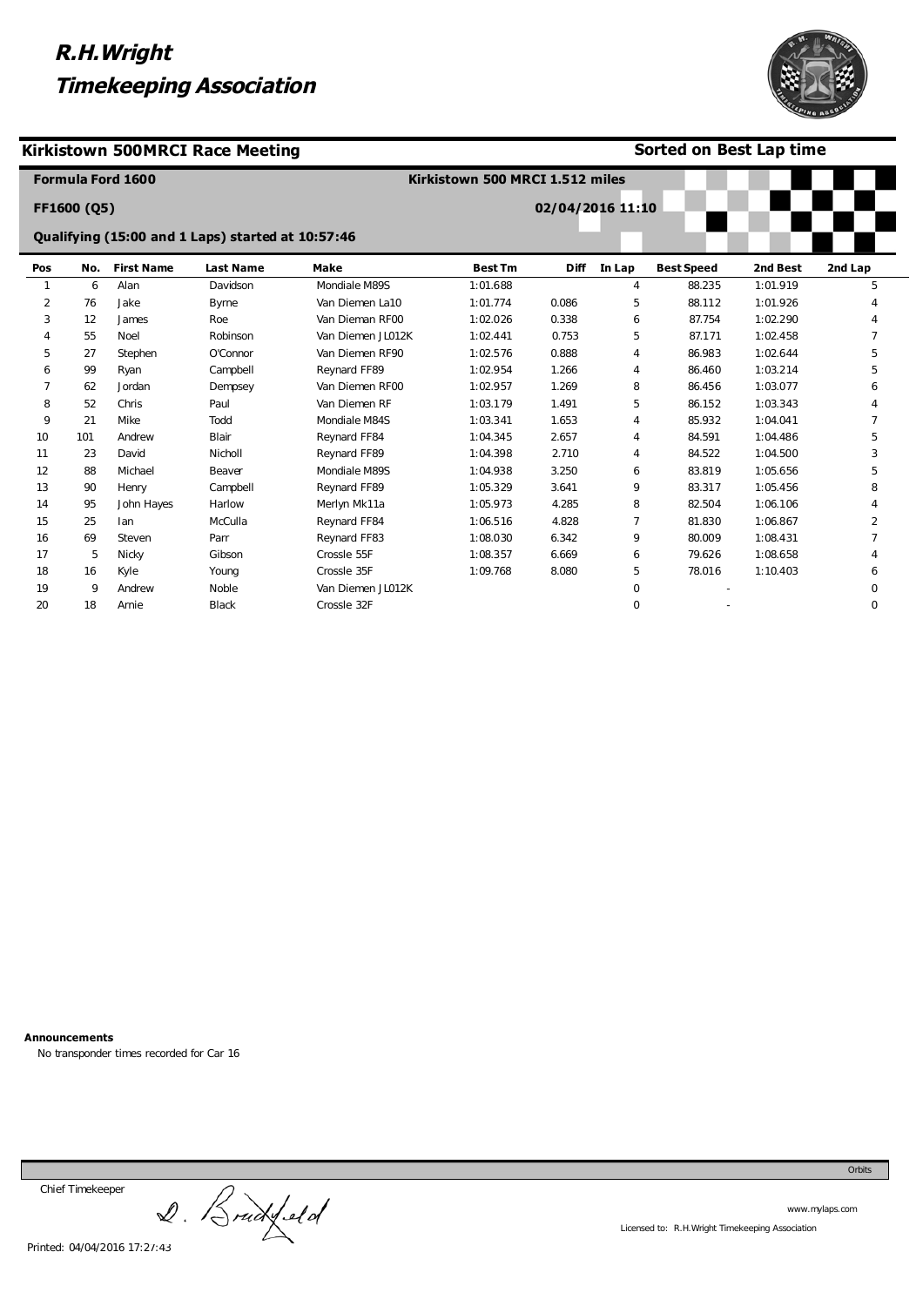

### **Kirkistown 500MRCI Race Meeting**

### **Sorted on Best Lap time**

|              |             | <b>Formula Ford 1600</b> |                                                   |                   | Kirkistown 500 MRCI 1.512 miles |                  |                |                   |          |          |
|--------------|-------------|--------------------------|---------------------------------------------------|-------------------|---------------------------------|------------------|----------------|-------------------|----------|----------|
|              | FF1600 (Q5) |                          |                                                   |                   |                                 | 02/04/2016 11:10 |                |                   |          |          |
|              |             |                          | Qualifying (15:00 and 1 Laps) started at 10:57:46 |                   |                                 |                  |                |                   |          |          |
| Pos          | No.         | <b>First Name</b>        | <b>Last Name</b>                                  | <b>Make</b>       | <b>Best Tm</b>                  | <b>Diff</b>      | In Lap         | <b>Best Speed</b> | 2nd Best | 2nd Lap  |
| $\mathbf{1}$ | 6           | Alan                     | Davidson                                          | Mondiale M89S     | 1:01.688                        |                  | $\overline{4}$ | 88.235            | 1:01.919 | 5        |
| 2            | 76          | Jake                     | <b>Byrne</b>                                      | Van Diemen La10   | 1:01.774                        | 0.086            | 5              | 88.112            | 1:01.926 |          |
| 3            | 12          | James                    | Roe                                               | Van Dieman RF00   | 1:02.026                        | 0.338            | 6              | 87.754            | 1:02.290 |          |
| 4            | 55          | Noel                     | Robinson                                          | Van Diemen JL012K | 1:02.441                        | 0.753            | 5              | 87.171            | 1:02.458 |          |
| 5            | 27          | Stephen                  | O'Connor                                          | Van Diemen RF90   | 1:02.576                        | 0.888            | 4              | 86.983            | 1:02.644 | 5        |
| 6            | 99          | Ryan                     | Campbell                                          | Reynard FF89      | 1:02.954                        | 1.266            | 4              | 86.460            | 1:03.214 | 5        |
| 7            | 62          | Jordan                   | Dempsey                                           | Van Diemen RF00   | 1:02.957                        | 1.269            | 8              | 86.456            | 1:03.077 | 6        |
| 8            | 52          | Chris                    | Paul                                              | Van Diemen RF     | 1:03.179                        | 1.491            | 5              | 86.152            | 1:03.343 | Δ        |
| 9            | 21          | Mike                     | Todd                                              | Mondiale M84S     | 1:03.341                        | 1.653            | 4              | 85.932            | 1:04.041 |          |
| 10           | 101         | Andrew                   | Blair                                             | Reynard FF84      | 1:04.345                        | 2.657            | 4              | 84.591            | 1:04.486 | 5        |
| 11           | 23          | David                    | Nicholl                                           | Reynard FF89      | 1:04.398                        | 2.710            | 4              | 84.522            | 1:04.500 | 3        |
| 12           | 88          | Michael                  | Beaver                                            | Mondiale M89S     | 1:04.938                        | 3.250            | 6              | 83.819            | 1:05.656 | 5        |
| 13           | 90          | Henry                    | Campbell                                          | Reynard FF89      | 1:05.329                        | 3.641            | 9              | 83.317            | 1:05.456 | 8        |
| 14           | 95          | John Hayes               | Harlow                                            | Merlyn Mk11a      | 1:05.973                        | 4.285            | 8              | 82.504            | 1:06.106 |          |
| 15           | 25          | lan                      | McCulla                                           | Reynard FF84      | 1:06.516                        | 4.828            | $\overline{7}$ | 81.830            | 1:06.867 | 2        |
| 16           | 69          | Steven                   | Parr                                              | Reynard FF83      | 1:08.030                        | 6.342            | 9              | 80.009            | 1:08.431 |          |
| 17           | 5           | Nicky                    | Gibson                                            | Crossle 55F       | 1:08.357                        | 6.669            | 6              | 79.626            | 1:08.658 |          |
| 18           | 16          | Kyle                     | Young                                             | Crossle 35F       | 1:09.768                        | 8.080            | 5              | 78.016            | 1:10.403 | 6        |
| 19           | 9           | Andrew                   | Noble                                             | Van Diemen JL012K |                                 |                  | $\mathbf 0$    |                   |          | 0        |
| 20           | 18          | Arnie                    | <b>Black</b>                                      | Crossle 32F       |                                 |                  | $\mathbf 0$    |                   |          | $\Omega$ |

**Announcements** 

No transponder times recorded for Car 16

Chief Timekeeper

Chief Timekeeper<br>2. Bruckfeld

www.mylaps.com Licensed to: R.H.Wright Timekeeping Association

Orbits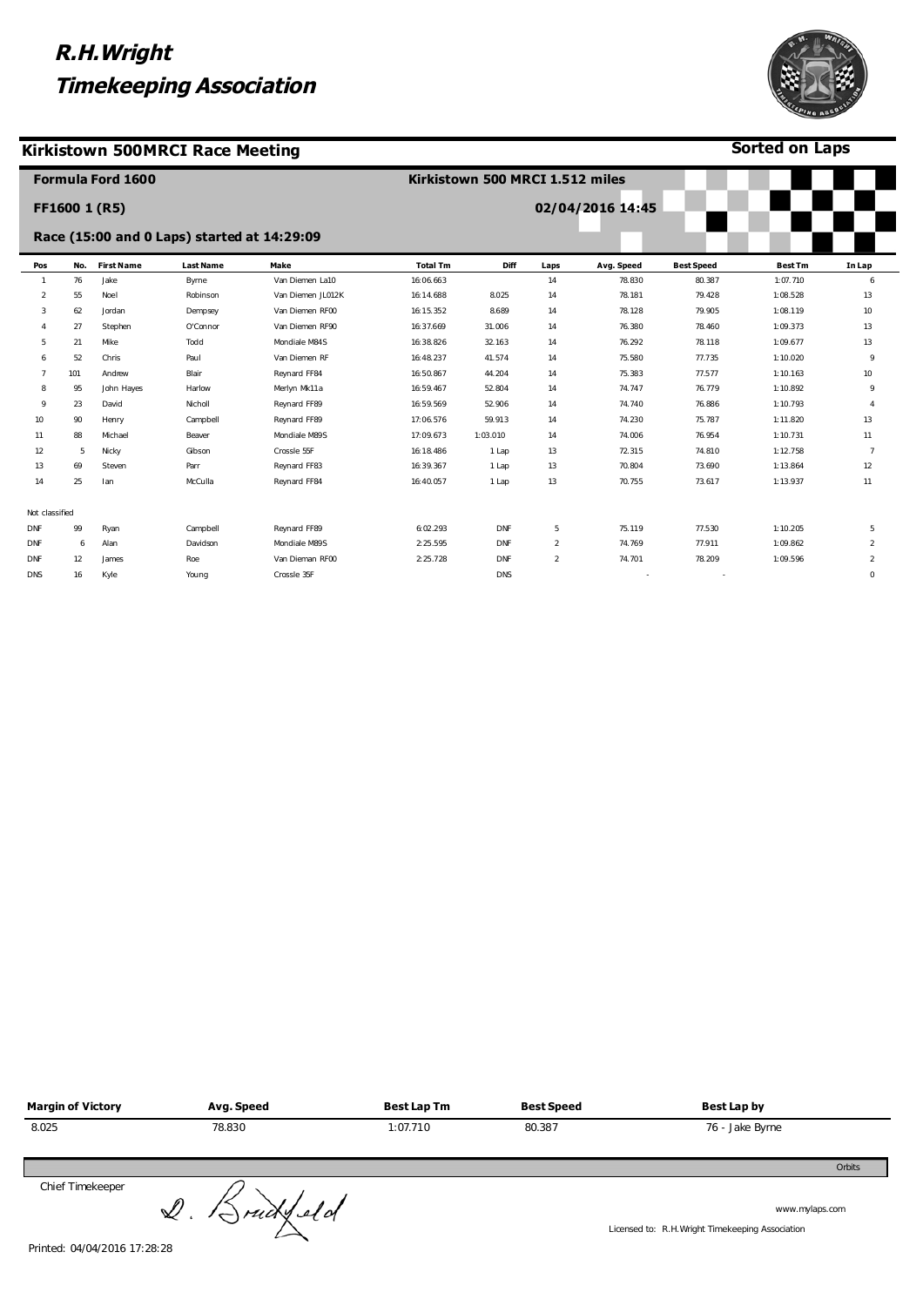#### **Kirkistown 500MRCI Race Meeting**



**Sorted on Laps**

|                |     | <b>Formula Ford 1600</b> |                                             |                   | Kirkistown 500 MRCI 1.512 miles |            |                |                  |                   |                |                     |  |
|----------------|-----|--------------------------|---------------------------------------------|-------------------|---------------------------------|------------|----------------|------------------|-------------------|----------------|---------------------|--|
|                |     | FF1600 1 (R5)            |                                             |                   |                                 |            |                | 02/04/2016 14:45 |                   |                |                     |  |
|                |     |                          | Race (15:00 and 0 Laps) started at 14:29:09 |                   |                                 |            |                |                  |                   |                |                     |  |
| Pos            | No. | <b>First Name</b>        | <b>Last Name</b>                            | Make              | <b>Total Tm</b>                 | Diff       | Laps           | Avg. Speed       | <b>Best Speed</b> | <b>Best Tm</b> | In Lap              |  |
| $\mathbf{1}$   | 76  | Jake                     | Byrne                                       | Van Diemen La10   | 16:06.663                       |            | 14             | 78.830           | 80.387            | 1:07.710       | 6                   |  |
| 2              | 55  | Noel                     | Robinson                                    | Van Diemen JL012K | 16:14.688                       | 8.025      | 14             | 78.181           | 79.428            | 1:08.528       | 13                  |  |
| 3              | 62  | Jordan                   | Dempsey                                     | Van Diemen RF00   | 16:15.352                       | 8.689      | 14             | 78.128           | 79.905            | 1:08.119       | 10                  |  |
| 4              | 27  | Stephen                  | O'Connor                                    | Van Diemen RF90   | 16:37.669                       | 31.006     | 14             | 76.380           | 78.460            | 1:09.373       | 13                  |  |
| 5              | 21  | Mike                     | Todd                                        | Mondiale M84S     | 16:38.826                       | 32.163     | 14             | 76.292           | 78.118            | 1:09.677       | 13                  |  |
| 6              | 52  | Chris                    | Paul                                        | Van Diemen RF     | 16:48.237                       | 41.574     | 14             | 75.580           | 77.735            | 1:10.020       | 9                   |  |
| 7              | 101 | Andrew                   | Blair                                       | Reynard FF84      | 16:50.867                       | 44.204     | 14             | 75.383           | 77.577            | 1:10.163       | 10                  |  |
| 8              | 95  | John Hayes               | Harlow                                      | Merlyn Mk11a      | 16:59.467                       | 52.804     | 14             | 74.747           | 76.779            | 1:10.892       | 9                   |  |
| 9              | 23  | David                    | Nicholl                                     | Reynard FF89      | 16:59.569                       | 52.906     | 14             | 74.740           | 76.886            | 1:10.793       | $\overline{4}$      |  |
| 10             | 90  | Henry                    | Campbell                                    | Reynard FF89      | 17:06.576                       | 59.913     | 14             | 74.230           | 75.787            | 1:11.820       | 13                  |  |
| 11             | 88  | Michael                  | Beaver                                      | Mondiale M89S     | 17:09.673                       | 1:03.010   | 14             | 74.006           | 76.954            | 1:10.731       | 11                  |  |
| 12             | 5   | Nicky                    | Gibson                                      | Crossle 55F       | 16:18.486                       | 1 Lap      | 13             | 72.315           | 74.810            | 1:12.758       | -7                  |  |
| 13             | 69  | Steven                   | Parr                                        | Reynard FF83      | 16:39.367                       | 1 Lap      | 13             | 70.804           | 73.690            | 1:13.864       | 12                  |  |
| 14             | 25  | lan                      | McCulla                                     | Reynard FF84      | 16:40.057                       | 1 Lap      | 13             | 70.755           | 73.617            | 1:13.937       | 11                  |  |
| Not classified |     |                          |                                             |                   |                                 |            |                |                  |                   |                |                     |  |
| <b>DNF</b>     | 99  | Ryan                     | Campbell                                    | Reynard FF89      | 6:02.293                        | <b>DNF</b> | 5              | 75.119           | 77.530            | 1:10.205       | 5                   |  |
| <b>DNF</b>     | 6   | Alan                     | Davidson                                    | Mondiale M89S     | 2:25.595                        | <b>DNF</b> | $\overline{2}$ | 74.769           | 77.911            | 1:09.862       | 2                   |  |
| DNF            | 12  | James                    | Roe                                         | Van Dieman RF00   | 2:25.728                        | DNF        | $\overline{2}$ | 74.701           | 78.209            | 1:09.596       | $\overline{2}$      |  |
| DNS            | 16  | Kyle                     | Young                                       | Crossle 35F       |                                 | <b>DNS</b> |                |                  |                   |                | $\mathsf{O}\xspace$ |  |
|                |     |                          |                                             |                   |                                 |            |                |                  |                   |                |                     |  |

| <b>Margin of Victory</b> | Avg. Speed | Best Lap Tm | <b>Best Speed</b> | Best Lap by     |
|--------------------------|------------|-------------|-------------------|-----------------|
| 8.025                    | 78.830     | 1:07.710    | 80.387            | 76 - Jake Byrne |
|                          |            |             |                   | Orbits          |
| Chief Timekeeper         |            |             |                   |                 |

Chief Imexeeper<br>Printed: 04/04/2016 17:28:28

www.mylaps.com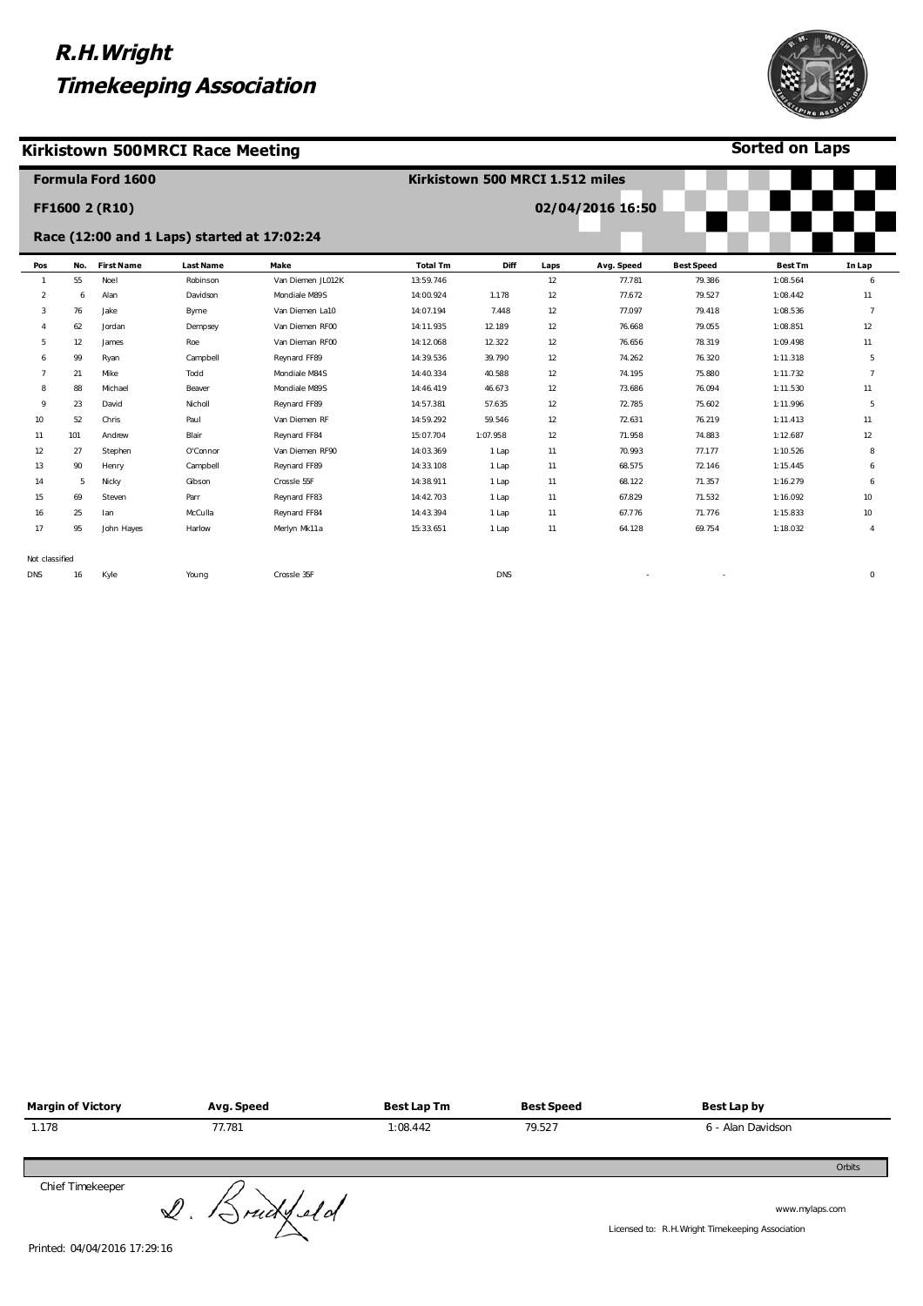#### **Kirkistown 500MRCI Race Meeting**



**Sorted on Laps**

|                |     | <b>Formula Ford 1600</b> |                                             |                   | Kirkistown 500 MRCI 1.512 miles |            |      |                  |                   |                |                     |
|----------------|-----|--------------------------|---------------------------------------------|-------------------|---------------------------------|------------|------|------------------|-------------------|----------------|---------------------|
|                |     | FF1600 2 (R10)           |                                             |                   |                                 |            |      | 02/04/2016 16:50 |                   |                |                     |
|                |     |                          | Race (12:00 and 1 Laps) started at 17:02:24 |                   |                                 |            |      |                  |                   |                |                     |
| Pos            | No. | <b>First Name</b>        | <b>Last Name</b>                            | Make              | <b>Total Tm</b>                 | Diff       | Laps | Avg. Speed       | <b>Best Speed</b> | <b>Best Tm</b> | In Lap              |
|                | 55  | Noe I                    | Robinson                                    | Van Diemen JL012K | 13:59.746                       |            | 12   | 77.781           | 79.386            | 1:08.564       | 6                   |
| 2              | 6   | Alan                     | Davidson                                    | Mondiale M89S     | 14:00.924                       | 1.178      | 12   | 77.672           | 79.527            | 1:08.442       | 11                  |
| 3              | 76  | Jake                     | Byrne                                       | Van Diemen La10   | 14:07.194                       | 7.448      | 12   | 77.097           | 79.418            | 1:08.536       | $\overline{7}$      |
|                | 62  | Jordan                   | Dempsey                                     | Van Diemen RF00   | 14:11.935                       | 12.189     | 12   | 76.668           | 79.055            | 1:08.851       | 12                  |
| 5              | 12  | James                    | Roe                                         | Van Dieman RF00   | 14:12.068                       | 12.322     | 12   | 76.656           | 78.319            | 1:09.498       | 11                  |
| 6              | 99  | Ryan                     | Campbell                                    | Reynard FF89      | 14:39.536                       | 39.790     | 12   | 74.262           | 76.320            | 1:11.318       | 5                   |
|                | 21  | Mike                     | Todd                                        | Mondiale M84S     | 14:40.334                       | 40.588     | 12   | 74.195           | 75.880            | 1:11.732       | $\overline{7}$      |
| 8              | 88  | Michael                  | Beaver                                      | Mondiale M89S     | 14:46.419                       | 46.673     | 12   | 73.686           | 76.094            | 1:11.530       | 11                  |
| 9              | 23  | David                    | Nicholl                                     | Reynard FF89      | 14:57.381                       | 57.635     | 12   | 72.785           | 75.602            | 1:11.996       | 5                   |
| 10             | 52  | Chris                    | Paul                                        | Van Diemen RF     | 14:59.292                       | 59.546     | 12   | 72.631           | 76.219            | 1:11.413       | 11                  |
| 11             | 101 | Andrew                   | Blair                                       | Reynard FF84      | 15:07.704                       | 1:07.958   | 12   | 71.958           | 74.883            | 1:12.687       | 12                  |
| 12             | 27  | Stephen                  | O'Connor                                    | Van Diemen RF90   | 14:03.369                       | 1 Lap      | 11   | 70.993           | 77.177            | 1:10.526       | 8                   |
| 13             | 90  | Henry                    | Campbell                                    | Reynard FF89      | 14:33.108                       | 1 Lap      | 11   | 68.575           | 72.146            | 1:15.445       | 6                   |
| 14             | 5   | Nicky                    | Gibson                                      | Crossle 55F       | 14:38.911                       | 1 Lap      | 11   | 68.122           | 71.357            | 1:16.279       | 6                   |
| 15             | 69  | Steven                   | Parr                                        | Reynard FF83      | 14:42.703                       | 1 Lap      | 11   | 67.829           | 71.532            | 1:16.092       | 10                  |
| 16             | 25  | lan                      | McCulla                                     | Reynard FF84      | 14:43.394                       | 1 Lap      | 11   | 67.776           | 71.776            | 1:15.833       | 10                  |
| 17             | 95  | John Hayes               | Harlow                                      | Merlyn Mk11a      | 15:33.651                       | 1 Lap      | 11   | 64.128           | 69.754            | 1:18.032       | 4                   |
| Not classified |     |                          |                                             |                   |                                 |            |      |                  |                   |                |                     |
| <b>DNS</b>     | 16  | Kyle                     | Young                                       | Crossle 35F       |                                 | <b>DNS</b> |      |                  |                   |                | $\mathsf{O}\xspace$ |

| <b>Margin of Victory</b> | Avg. Speed | Best Lap Tm | <b>Best Speed</b> | <b>Best Lap by</b> |
|--------------------------|------------|-------------|-------------------|--------------------|
| 1.178                    | 77.781     | 1:08.442    | 79.527            | 6 - Alan Davidson  |
|                          |            |             |                   | Orbits             |
| Chief Timekeeper         |            |             |                   |                    |

Chief Timekeeper<br>Printed: 04/04/2016 17:29:16

www.mylaps.com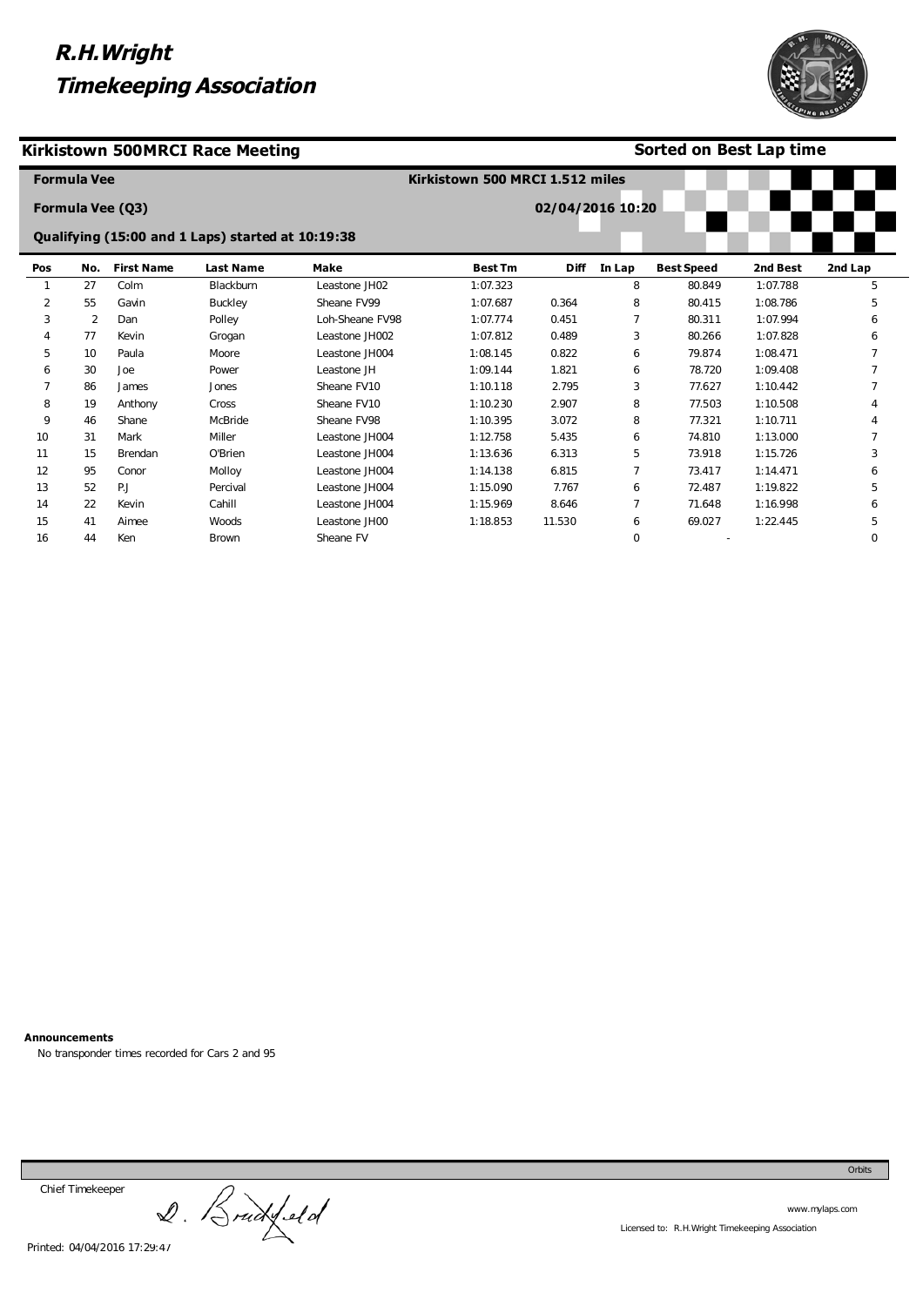

### **Kirkistown 500MRCI Race Meeting**

### **Sorted on Best Lap time**

|     | <b>Formula Vee</b> |                   |                                                   |                 | Kirkistown 500 MRCI 1.512 miles |                  |        |                   |          |          |
|-----|--------------------|-------------------|---------------------------------------------------|-----------------|---------------------------------|------------------|--------|-------------------|----------|----------|
|     |                    | Formula Vee (Q3)  |                                                   |                 |                                 | 02/04/2016 10:20 |        |                   |          |          |
|     |                    |                   | Qualifying (15:00 and 1 Laps) started at 10:19:38 |                 |                                 |                  |        |                   |          |          |
| Pos | No.                | <b>First Name</b> | <b>Last Name</b>                                  | <b>Make</b>     | <b>Best Tm</b>                  | <b>Diff</b>      | In Lap | <b>Best Speed</b> | 2nd Best | 2nd Lap  |
|     | 27                 | Colm              | Blackburn                                         | Leastone JH02   | 1:07.323                        |                  | 8      | 80.849            | 1:07.788 | 5        |
| 2   | 55                 | Gavin             | Buckley                                           | Sheane FV99     | 1:07.687                        | 0.364            | 8      | 80.415            | 1:08.786 | 5        |
| 3   | $\overline{2}$     | Dan               | Polley                                            | Loh-Sheane FV98 | 1:07.774                        | 0.451            | 7      | 80.311            | 1:07.994 | 6        |
| 4   | 77                 | Kevin             | Grogan                                            | Leastone JH002  | 1:07.812                        | 0.489            | 3      | 80.266            | 1:07.828 | 6        |
| 5   | 10                 | Paula             | Moore                                             | Leastone JH004  | 1:08.145                        | 0.822            | 6      | 79.874            | 1:08.471 |          |
| 6   | 30                 | Joe               | Power                                             | Leastone JH     | 1:09.144                        | 1.821            | 6      | 78.720            | 1:09.408 |          |
| 7   | 86                 | James             | Jones                                             | Sheane FV10     | 1:10.118                        | 2.795            | 3      | 77.627            | 1:10.442 |          |
| 8   | 19                 | Anthony           | Cross                                             | Sheane FV10     | 1:10.230                        | 2.907            | 8      | 77.503            | 1:10.508 |          |
| 9   | 46                 | Shane             | McBride                                           | Sheane FV98     | 1:10.395                        | 3.072            | 8      | 77.321            | 1:10.711 |          |
| 10  | 31                 | Mark              | Miller                                            | Leastone JH004  | 1:12.758                        | 5.435            | 6      | 74.810            | 1:13.000 |          |
| 11  | 15                 | Brendan           | O'Brien                                           | Leastone JH004  | 1:13.636                        | 6.313            | 5      | 73.918            | 1:15.726 | 3        |
| 12  | 95                 | Conor             | Molloy                                            | Leastone JH004  | 1:14.138                        | 6.815            | 7      | 73.417            | 1:14.471 | 6        |
| 13  | 52                 | P.J               | Percival                                          | Leastone JH004  | 1:15.090                        | 7.767            | 6      | 72.487            | 1:19.822 | 5        |
| 14  | 22                 | Kevin             | Cahill                                            | Leastone JH004  | 1:15.969                        | 8.646            | 7      | 71.648            | 1:16.998 | 6        |
| 15  | 41                 | Aimee             | Woods                                             | Leastone JH00   | 1:18.853                        | 11.530           | 6      | 69.027            | 1:22.445 | 5        |
| 16  | 44                 | Ken               | Brown                                             | Sheane FV       |                                 |                  | 0      |                   |          | $\Omega$ |

**Announcements** 

No transponder times recorded for Cars 2 and 95

Chief Timekeeper

Chief Timekeeper<br>2. Bruckfeld

Orbits

www.mylaps.com Licensed to: R.H.Wright Timekeeping Association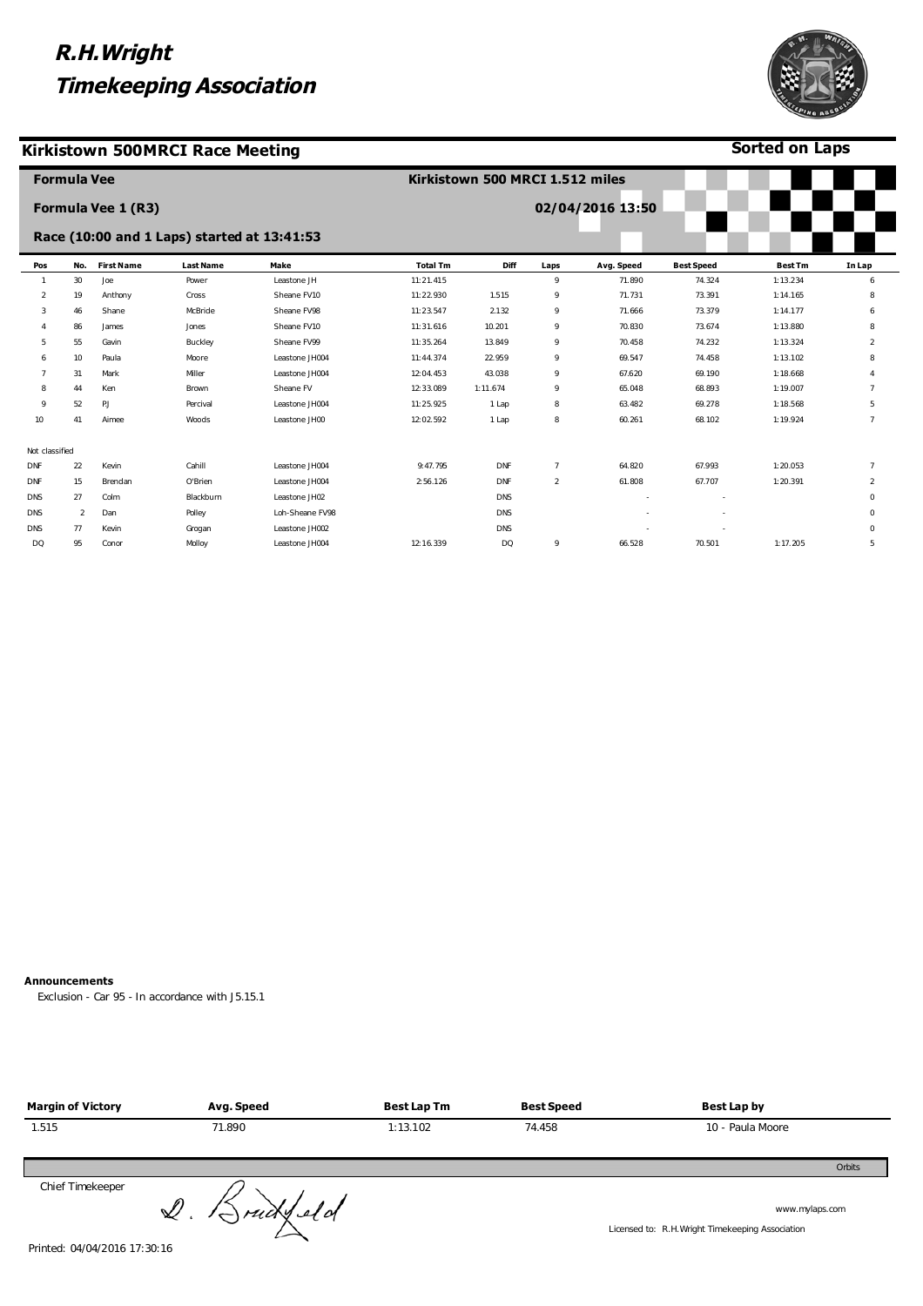### **Kirkistown 500MRCI Race Meeting**



**Sorted on Laps**

|                | <b>Formula Vee</b> |                    |                                             |                 | Kirkistown 500 MRCI 1.512 miles |            |                |                  |                   |                |                |
|----------------|--------------------|--------------------|---------------------------------------------|-----------------|---------------------------------|------------|----------------|------------------|-------------------|----------------|----------------|
|                |                    | Formula Vee 1 (R3) |                                             |                 |                                 |            |                | 02/04/2016 13:50 |                   |                |                |
|                |                    |                    | Race (10:00 and 1 Laps) started at 13:41:53 |                 |                                 |            |                |                  |                   |                |                |
| Pos            | No.                | <b>First Name</b>  | <b>Last Name</b>                            | Make            | <b>Total Tm</b>                 | Diff       | Laps           | Avg. Speed       | <b>Best Speed</b> | <b>Best Tm</b> | In Lap         |
|                | 30                 | Joe                | Power                                       | Leastone JH     | 11:21.415                       |            | 9              | 71.890           | 74.324            | 1:13.234       | 6              |
| 2              | 19                 | Anthony            | Cross                                       | Sheane FV10     | 11:22.930                       | 1.515      | 9              | 71.731           | 73.391            | 1:14.165       | 8              |
| 3              | 46                 | Shane              | McBride                                     | Sheane FV98     | 11:23.547                       | 2.132      | 9              | 71.666           | 73.379            | 1:14.177       | 6              |
|                | 86                 | James              | Jones                                       | Sheane FV10     | 11:31.616                       | 10.201     | 9              | 70.830           | 73.674            | 1:13.880       | 8              |
| 5              | 55                 | Gavin              | Buckley                                     | Sheane FV99     | 11:35.264                       | 13.849     | 9              | 70.458           | 74.232            | 1:13.324       | $\overline{a}$ |
| 6              | 10                 | Paula              | Moore                                       | Leastone JH004  | 11:44.374                       | 22.959     | 9              | 69.547           | 74.458            | 1:13.102       | 8              |
|                | 31                 | Mark               | Miller                                      | Leastone JH004  | 12:04.453                       | 43.038     | 9              | 67.620           | 69.190            | 1:18.668       |                |
| 8              | 44                 | Ken                | Brown                                       | Sheane FV       | 12:33.089                       | 1:11.674   | 9              | 65.048           | 68.893            | 1:19.007       | $\overline{7}$ |
| 9              | 52                 | P.J                | Percival                                    | Leastone JH004  | 11:25.925                       | 1 Lap      | 8              | 63.482           | 69.278            | 1:18.568       | 5              |
| 10             | 41                 | Aimee              | Woods                                       | Leastone JH00   | 12:02.592                       | 1 Lap      | 8              | 60.261           | 68.102            | 1:19.924       | $\overline{7}$ |
| Not classified |                    |                    |                                             |                 |                                 |            |                |                  |                   |                |                |
| DNF            | 22                 | Kevin              | Cahill                                      | Leastone JH004  | 9:47.795                        | <b>DNF</b> | $\overline{7}$ | 64.820           | 67.993            | 1:20.053       | $\overline{7}$ |
| <b>DNF</b>     | 15                 | Brendan            | O'Brien                                     | Leastone JH004  | 2:56.126                        | <b>DNF</b> | $\overline{2}$ | 61.808           | 67.707            | 1:20.391       | $\overline{a}$ |
| <b>DNS</b>     | 27                 | Colm               | Blackburn                                   | Leastone JH02   |                                 | <b>DNS</b> |                |                  |                   |                | $\mathbf{0}$   |
| <b>DNS</b>     | $\overline{2}$     | Dan                | Polley                                      | Loh-Sheane FV98 |                                 | DNS        |                |                  | ٠                 |                | $\mathbf 0$    |
| DNS            | 77                 | Kevin              | Grogan                                      | Leastone JH002  |                                 | DNS        |                |                  |                   |                | $\mathbf{0}$   |
| DQ             | 95                 | Conor              | Molloy                                      | Leastone JH004  | 12:16.339                       | <b>DQ</b>  | 9              | 66.528           | 70.501            | 1:17.205       | 5              |

#### **Announcements**

Exclusion - Car 95 - In accordance with J5.15.1

| <b>Margin of Victory</b> | Avg. Speed               | <b>Best Lap Tm</b> | <b>Best Speed</b> | Best Lap by                                                        |
|--------------------------|--------------------------|--------------------|-------------------|--------------------------------------------------------------------|
| 1.515                    | 71.890                   | 1:13.102           | 74.458            | 10 - Paula Moore                                                   |
|                          |                          |                    |                   | Orbits                                                             |
| Chief Timekeeper         | $Q.$ $\beta$ rud $y$ eld |                    |                   | www.mylaps.com<br>Licensed to: R.H. Wright Timekeeping Association |

Printed: 04/04/2016 17:30:16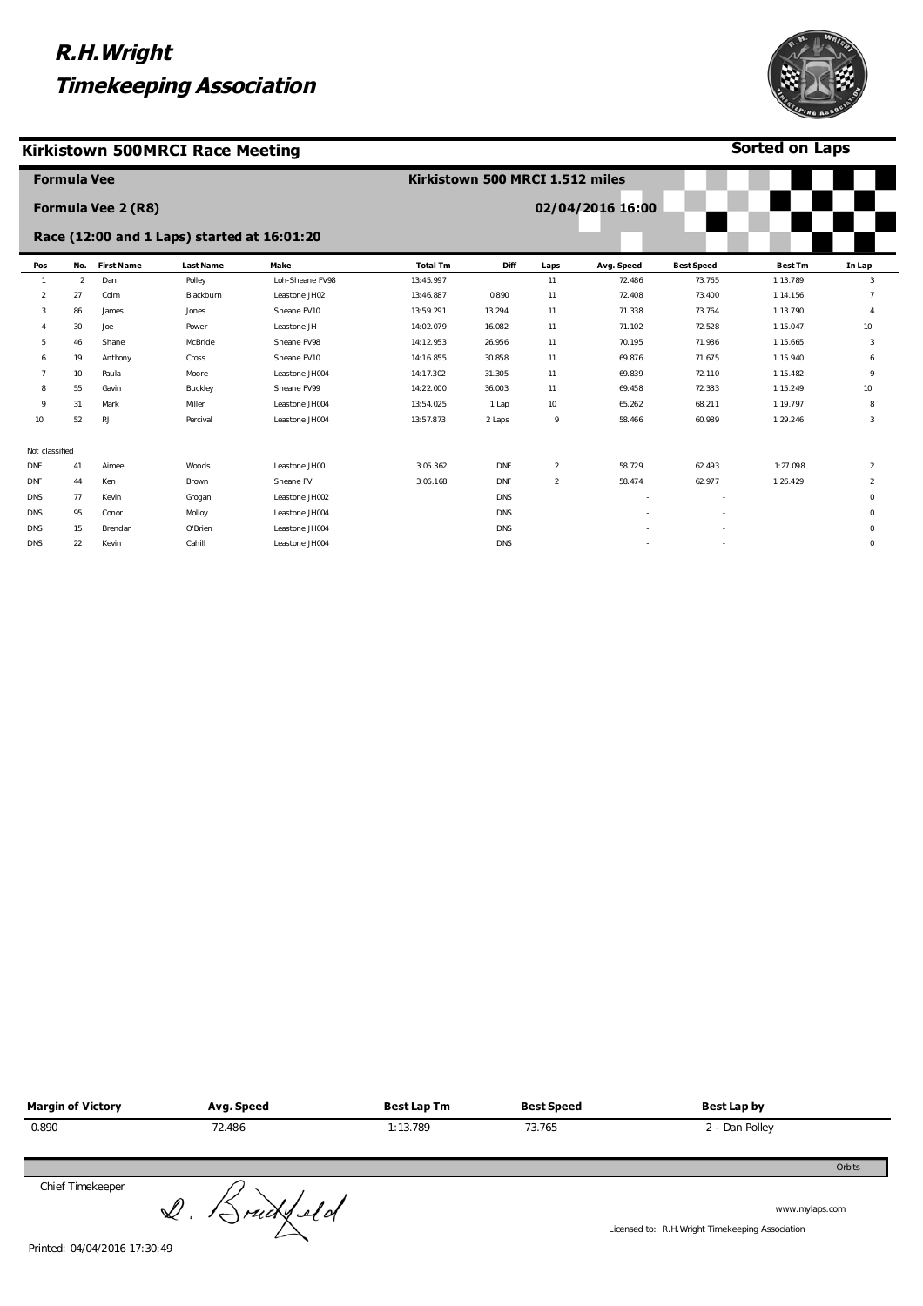### **Kirkistown 500MRCI Race Meeting**



| 02/04/2016 16:00<br>Formula Vee 2 (R8)<br>Race (12:00 and 1 Laps) started at 16:01:20<br><b>First Name</b><br>No.<br>Make<br><b>Total Tm</b><br><b>Diff</b><br><b>Best Speed</b><br><b>Best Tm</b><br><b>Last Name</b><br>Avg. Speed<br>In Lap<br>Pos<br>Laps<br>Dan<br>Loh-Sheane FV98<br>$\overline{2}$<br>13:45.997<br>11<br>72.486<br>73.765<br>1:13.789<br>3<br>Polley<br>$\mathbf{1}$<br>$\overline{2}$<br>0.890<br>72.408<br>1:14.156<br>27<br>Colm<br>Blackburn<br>Leastone JH02<br>13:46.887<br>11<br>73.400<br>Sheane FV10<br>71.338<br>3<br>86<br>13:59.291<br>13.294<br>11<br>73.764<br>1:13.790<br>James<br>Jones<br>$\overline{4}$<br>30<br>Joe<br>Leastone JH<br>14:02.079<br>11<br>71.102<br>72.528<br>1:15.047<br>10<br>Power<br>16.082<br>Sheane FV98<br>Shane<br>McBride<br>14:12.953<br>26.956<br>11<br>70.195<br>71.936<br>1:15.665<br>5.<br>46<br>3<br>Sheane FV10<br>1:15.940<br>19<br>14:16.855<br>30.858<br>11<br>69.876<br>71.675<br>Anthony<br>Cross<br>6<br>6<br>10<br>Paula<br>Moore<br>Leastone JH004<br>14:17.302<br>31.305<br>11<br>69.839<br>72.110<br>1:15.482<br>9<br>Sheane FV99<br>1:15.249<br>55<br>Gavin<br>Buckley<br>14:22.000<br>36.003<br>11<br>69.458<br>72.333<br>10<br>8<br>Miller<br>65.262<br>1:19.797<br>31<br>Mark<br>Leastone JH004<br>13:54.025<br>1 Lap<br>10<br>68.211<br>8<br>$\mathsf o$<br>52<br>PJ<br>13:57.873<br>9<br>1:29.246<br>10<br>Percival<br>Leastone JH004<br>2 Laps<br>58.466<br>60.989<br>3<br>Not classified<br>3:05.362<br>$\overline{2}$<br>1:27.098<br><b>DNF</b><br>41<br>Aimee<br>Leastone JH00<br><b>DNF</b><br>58.729<br>62.493<br>$\overline{2}$<br>Woods<br>Sheane FV<br>58.474<br>44<br>Ken<br>3:06.168<br><b>DNF</b><br>$\overline{2}$<br>62.977<br>1:26.429<br><b>DNF</b><br>Brown<br>2<br><b>DNS</b><br>77<br>Kevin<br>Leastone JH002<br><b>DNS</b><br>Grogan<br>0<br>95<br>Conor<br>Molloy<br>Leastone JH004<br><b>DNS</b><br><b>DNS</b><br>0<br>15<br>O'Brien<br>Leastone JH004<br>DNS<br><b>DNS</b><br>Brendan<br>0 | <b>Formula Vee</b> |  | Kirkistown 500 MRCI 1.512 miles |  |  |  |
|------------------------------------------------------------------------------------------------------------------------------------------------------------------------------------------------------------------------------------------------------------------------------------------------------------------------------------------------------------------------------------------------------------------------------------------------------------------------------------------------------------------------------------------------------------------------------------------------------------------------------------------------------------------------------------------------------------------------------------------------------------------------------------------------------------------------------------------------------------------------------------------------------------------------------------------------------------------------------------------------------------------------------------------------------------------------------------------------------------------------------------------------------------------------------------------------------------------------------------------------------------------------------------------------------------------------------------------------------------------------------------------------------------------------------------------------------------------------------------------------------------------------------------------------------------------------------------------------------------------------------------------------------------------------------------------------------------------------------------------------------------------------------------------------------------------------------------------------------------------------------------------------------------------------------------------------------------------------------------------------------------|--------------------|--|---------------------------------|--|--|--|
|                                                                                                                                                                                                                                                                                                                                                                                                                                                                                                                                                                                                                                                                                                                                                                                                                                                                                                                                                                                                                                                                                                                                                                                                                                                                                                                                                                                                                                                                                                                                                                                                                                                                                                                                                                                                                                                                                                                                                                                                            |                    |  |                                 |  |  |  |
|                                                                                                                                                                                                                                                                                                                                                                                                                                                                                                                                                                                                                                                                                                                                                                                                                                                                                                                                                                                                                                                                                                                                                                                                                                                                                                                                                                                                                                                                                                                                                                                                                                                                                                                                                                                                                                                                                                                                                                                                            |                    |  |                                 |  |  |  |
|                                                                                                                                                                                                                                                                                                                                                                                                                                                                                                                                                                                                                                                                                                                                                                                                                                                                                                                                                                                                                                                                                                                                                                                                                                                                                                                                                                                                                                                                                                                                                                                                                                                                                                                                                                                                                                                                                                                                                                                                            |                    |  |                                 |  |  |  |
|                                                                                                                                                                                                                                                                                                                                                                                                                                                                                                                                                                                                                                                                                                                                                                                                                                                                                                                                                                                                                                                                                                                                                                                                                                                                                                                                                                                                                                                                                                                                                                                                                                                                                                                                                                                                                                                                                                                                                                                                            |                    |  |                                 |  |  |  |
|                                                                                                                                                                                                                                                                                                                                                                                                                                                                                                                                                                                                                                                                                                                                                                                                                                                                                                                                                                                                                                                                                                                                                                                                                                                                                                                                                                                                                                                                                                                                                                                                                                                                                                                                                                                                                                                                                                                                                                                                            |                    |  |                                 |  |  |  |
|                                                                                                                                                                                                                                                                                                                                                                                                                                                                                                                                                                                                                                                                                                                                                                                                                                                                                                                                                                                                                                                                                                                                                                                                                                                                                                                                                                                                                                                                                                                                                                                                                                                                                                                                                                                                                                                                                                                                                                                                            |                    |  |                                 |  |  |  |
|                                                                                                                                                                                                                                                                                                                                                                                                                                                                                                                                                                                                                                                                                                                                                                                                                                                                                                                                                                                                                                                                                                                                                                                                                                                                                                                                                                                                                                                                                                                                                                                                                                                                                                                                                                                                                                                                                                                                                                                                            |                    |  |                                 |  |  |  |
|                                                                                                                                                                                                                                                                                                                                                                                                                                                                                                                                                                                                                                                                                                                                                                                                                                                                                                                                                                                                                                                                                                                                                                                                                                                                                                                                                                                                                                                                                                                                                                                                                                                                                                                                                                                                                                                                                                                                                                                                            |                    |  |                                 |  |  |  |
|                                                                                                                                                                                                                                                                                                                                                                                                                                                                                                                                                                                                                                                                                                                                                                                                                                                                                                                                                                                                                                                                                                                                                                                                                                                                                                                                                                                                                                                                                                                                                                                                                                                                                                                                                                                                                                                                                                                                                                                                            |                    |  |                                 |  |  |  |
|                                                                                                                                                                                                                                                                                                                                                                                                                                                                                                                                                                                                                                                                                                                                                                                                                                                                                                                                                                                                                                                                                                                                                                                                                                                                                                                                                                                                                                                                                                                                                                                                                                                                                                                                                                                                                                                                                                                                                                                                            |                    |  |                                 |  |  |  |
|                                                                                                                                                                                                                                                                                                                                                                                                                                                                                                                                                                                                                                                                                                                                                                                                                                                                                                                                                                                                                                                                                                                                                                                                                                                                                                                                                                                                                                                                                                                                                                                                                                                                                                                                                                                                                                                                                                                                                                                                            |                    |  |                                 |  |  |  |
|                                                                                                                                                                                                                                                                                                                                                                                                                                                                                                                                                                                                                                                                                                                                                                                                                                                                                                                                                                                                                                                                                                                                                                                                                                                                                                                                                                                                                                                                                                                                                                                                                                                                                                                                                                                                                                                                                                                                                                                                            |                    |  |                                 |  |  |  |
|                                                                                                                                                                                                                                                                                                                                                                                                                                                                                                                                                                                                                                                                                                                                                                                                                                                                                                                                                                                                                                                                                                                                                                                                                                                                                                                                                                                                                                                                                                                                                                                                                                                                                                                                                                                                                                                                                                                                                                                                            |                    |  |                                 |  |  |  |
|                                                                                                                                                                                                                                                                                                                                                                                                                                                                                                                                                                                                                                                                                                                                                                                                                                                                                                                                                                                                                                                                                                                                                                                                                                                                                                                                                                                                                                                                                                                                                                                                                                                                                                                                                                                                                                                                                                                                                                                                            |                    |  |                                 |  |  |  |
|                                                                                                                                                                                                                                                                                                                                                                                                                                                                                                                                                                                                                                                                                                                                                                                                                                                                                                                                                                                                                                                                                                                                                                                                                                                                                                                                                                                                                                                                                                                                                                                                                                                                                                                                                                                                                                                                                                                                                                                                            |                    |  |                                 |  |  |  |
|                                                                                                                                                                                                                                                                                                                                                                                                                                                                                                                                                                                                                                                                                                                                                                                                                                                                                                                                                                                                                                                                                                                                                                                                                                                                                                                                                                                                                                                                                                                                                                                                                                                                                                                                                                                                                                                                                                                                                                                                            |                    |  |                                 |  |  |  |
|                                                                                                                                                                                                                                                                                                                                                                                                                                                                                                                                                                                                                                                                                                                                                                                                                                                                                                                                                                                                                                                                                                                                                                                                                                                                                                                                                                                                                                                                                                                                                                                                                                                                                                                                                                                                                                                                                                                                                                                                            |                    |  |                                 |  |  |  |
|                                                                                                                                                                                                                                                                                                                                                                                                                                                                                                                                                                                                                                                                                                                                                                                                                                                                                                                                                                                                                                                                                                                                                                                                                                                                                                                                                                                                                                                                                                                                                                                                                                                                                                                                                                                                                                                                                                                                                                                                            |                    |  |                                 |  |  |  |
| <b>DNS</b><br>22<br>Kevin<br>Cahill<br>Leastone JH004<br><b>DNS</b><br>0                                                                                                                                                                                                                                                                                                                                                                                                                                                                                                                                                                                                                                                                                                                                                                                                                                                                                                                                                                                                                                                                                                                                                                                                                                                                                                                                                                                                                                                                                                                                                                                                                                                                                                                                                                                                                                                                                                                                   |                    |  |                                 |  |  |  |

| <b>Margin of Victory</b> | Avg. Speed            | <b>Best Lap Tm</b> | <b>Best Speed</b> | Best Lap by                                                       |
|--------------------------|-----------------------|--------------------|-------------------|-------------------------------------------------------------------|
| 0.890                    | 72.486                | 1:13.789           | 73.765            | 2 - Dan Polley                                                    |
|                          |                       |                    |                   | Orbits                                                            |
| Chief Timekeeper         | $Q.$ $\beta$ ruckleld |                    |                   | www.mylaps.com<br>Licensed to: R.H.Wright Timekeeping Association |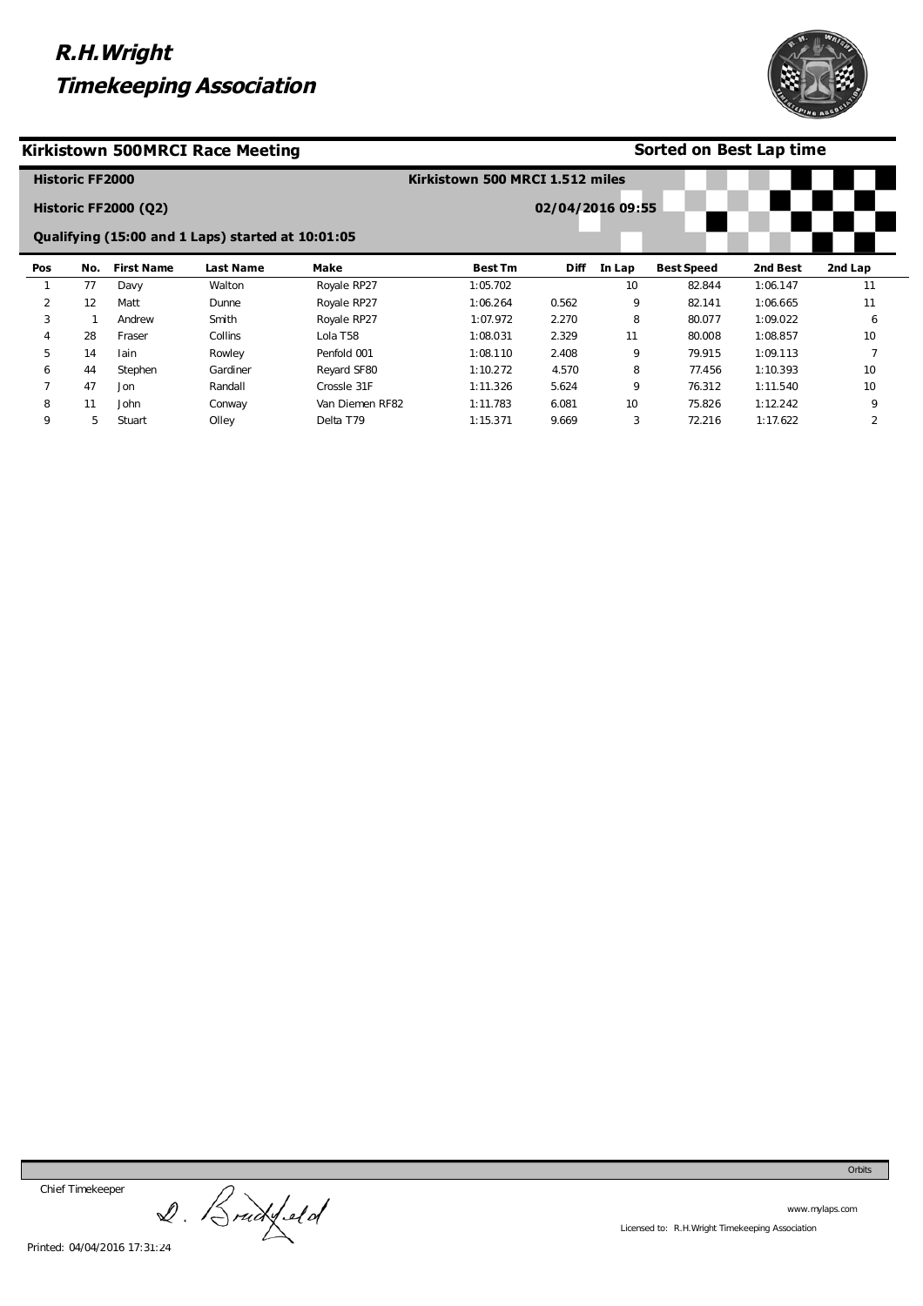

### **Kirkistown 500MRCI Race Meeting**

### **Sorted on Best Lap time**

|              | <b>Historic FF2000</b> |                             |                                                   |                 | Kirkistown 500 MRCI 1.512 miles |                  |        |                   |          |                |
|--------------|------------------------|-----------------------------|---------------------------------------------------|-----------------|---------------------------------|------------------|--------|-------------------|----------|----------------|
|              |                        | <b>Historic FF2000 (Q2)</b> |                                                   |                 |                                 | 02/04/2016 09:55 |        |                   |          |                |
|              |                        |                             | Qualifying (15:00 and 1 Laps) started at 10:01:05 |                 |                                 |                  |        |                   |          |                |
| Pos          | No.                    | <b>First Name</b>           | <b>Last Name</b>                                  | Make            | <b>Best Tm</b>                  | <b>Diff</b>      | In Lap | <b>Best Speed</b> | 2nd Best | 2nd Lap        |
|              | 77                     | Davy                        | Walton                                            | Royale RP27     | 1:05.702                        |                  | 10     | 82.844            | 1:06.147 | 11             |
| 2            | 12                     | Matt                        | Dunne                                             | Royale RP27     | 1:06.264                        | 0.562            | 9      | 82.141            | 1:06.665 | 11             |
| 3            |                        | Andrew                      | Smith                                             | Royale RP27     | 1:07.972                        | 2.270            | 8      | 80.077            | 1:09.022 | 6              |
| 4            | 28                     | Fraser                      | Collins                                           | Lola T58        | 1:08.031                        | 2.329            | 11     | 80.008            | 1:08.857 | 10             |
| 5            | 14                     | lain                        | Rowley                                            | Penfold 001     | 1:08.110                        | 2.408            | 9      | 79.915            | 1:09.113 |                |
| 6            | 44                     | Stephen                     | Gardiner                                          | Reyard SF80     | 1:10.272                        | 4.570            | 8      | 77.456            | 1:10.393 | 10             |
| $\mathbf{r}$ | 47                     | Jon                         | Randall                                           | Crossle 31F     | 1:11.326                        | 5.624            | 9      | 76.312            | 1:11.540 | 10             |
| 8            | 11                     | John                        | Conway                                            | Van Diemen RF82 | 1:11.783                        | 6.081            | 10     | 75.826            | 1:12.242 | 9              |
| 9            | 5                      | Stuart                      | Olley                                             | Delta T79       | 1:15.371                        | 9.669            | 3      | 72.216            | 1:17.622 | $\overline{2}$ |

Chief Timekeeper

Chief Timekeeper<br>2. Brackfeld

www.mylaps.com Licensed to: R.H.Wright Timekeeping Association

Orbits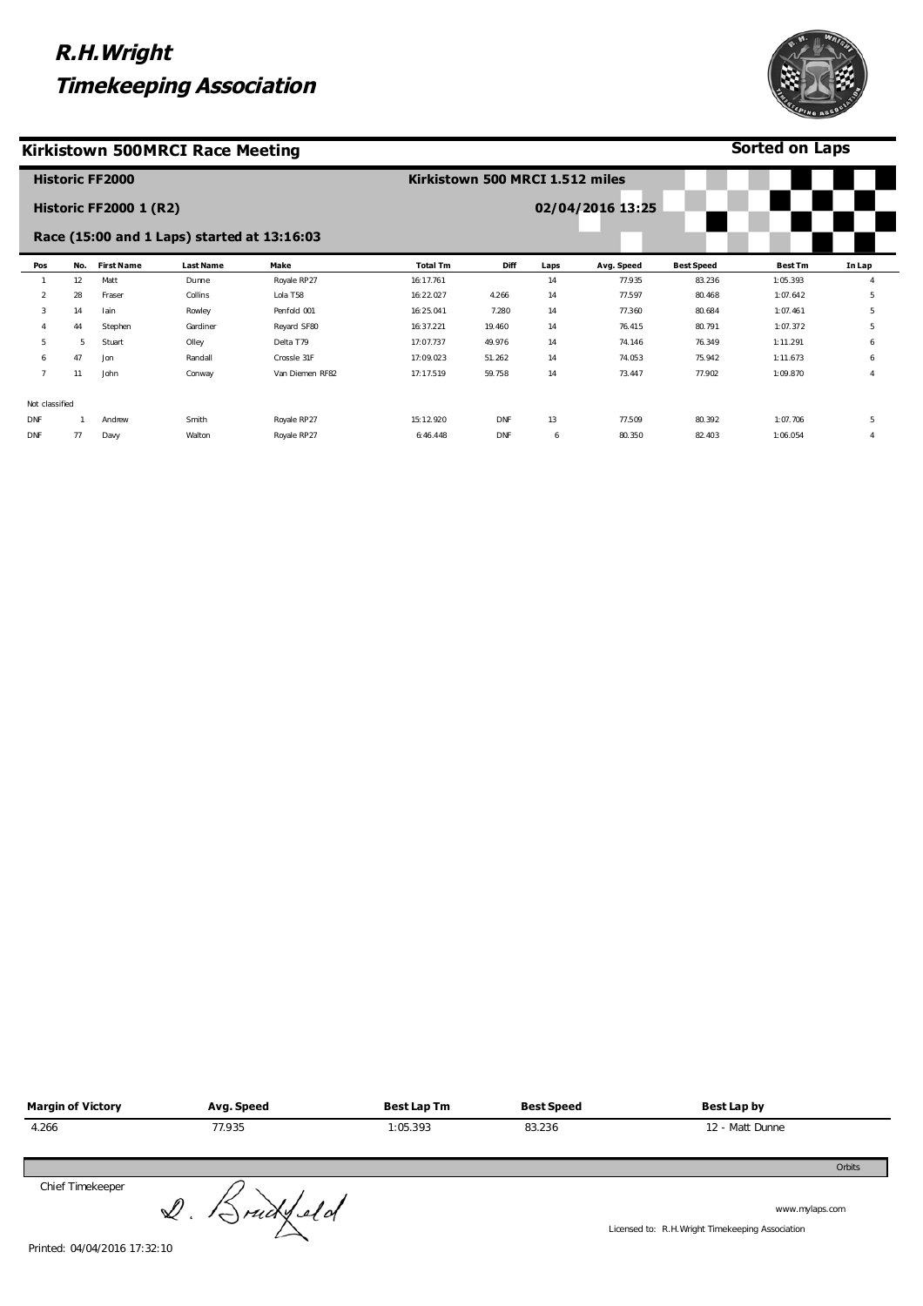Smith Walton Royale RP27 Royale RP27

### **Kirkistown 500MRCI Race Meeting**

DNF DNF

1 Andrew 77 Davy

**Historic FF2000** 



77.509 80.350 80.392 82.403 1:07.706 1:06.054 5 4

|                |     | <b>Historic FF2000 1 (R2)</b> |                                             |                 |                 |        |      | 02/04/2016 13:25 |                   |                |        |
|----------------|-----|-------------------------------|---------------------------------------------|-----------------|-----------------|--------|------|------------------|-------------------|----------------|--------|
|                |     |                               | Race (15:00 and 1 Laps) started at 13:16:03 |                 |                 |        |      |                  |                   |                |        |
| Pos            | No. | <b>First Name</b>             | <b>Last Name</b>                            | Make            | <b>Total Tm</b> | Diff   | Laps | Avg. Speed       | <b>Best Speed</b> | <b>Best Tm</b> | In Lap |
|                | 12  | Matt                          | Dunne                                       | Royale RP27     | 16:17.761       |        | 14   | 77.935           | 83.236            | 1:05.393       |        |
| 2              | 28  | Fraser                        | Collins                                     | Lola T58        | 16:22.027       | 4.266  | 14   | 77.597           | 80.468            | 1:07.642       | 5      |
| 3              | 14  | lain                          | Rowley                                      | Penfold 001     | 16:25.041       | 7.280  | 14   | 77.360           | 80.684            | 1:07.461       | 5      |
| $\overline{4}$ | 44  | Stephen                       | Gardiner                                    | Reyard SF80     | 16:37.221       | 19.460 | 14   | 76.415           | 80.791            | 1:07.372       | 5      |
| 5              | 5   | Stuart                        | Olley                                       | Delta T79       | 17:07.737       | 49.976 | 14   | 74.146           | 76.349            | 1:11.291       | 6      |
| 6              | 47  | Jon                           | Randall                                     | Crossle 31F     | 17:09.023       | 51.262 | 14   | 74.053           | 75.942            | 1:11.673       | 6      |
| $\overline{7}$ | 11  | John                          | Conway                                      | Van Diemen RF82 | 17:17.519       | 59.758 | 14   | 73.447           | 77.902            | 1:09.870       |        |
| Not classified |     |                               |                                             |                 |                 |        |      |                  |                   |                |        |

DNF DNF

**Kirkistown 500 MRCI 1.512 miles** 

13 6

15:12.920 6:46.448

| <b>Margin of Victory</b> | Avg. Speed    | <b>Best Lap Tm</b> | <b>Best Speed</b> | <b>Best Lap by</b>                                                |
|--------------------------|---------------|--------------------|-------------------|-------------------------------------------------------------------|
| 4.266                    | 77.935        | 1:05.393           | 83.236            | 12 - Matt Dunne                                                   |
|                          |               |                    |                   | Orbits                                                            |
| Chief Timekeeper         | $Q.$ Brudfeld |                    |                   | www.mylaps.com<br>Licensed to: R.H.Wright Timekeeping Association |

Printed: 04/04/2016 17:32:10



**Sorted on Laps**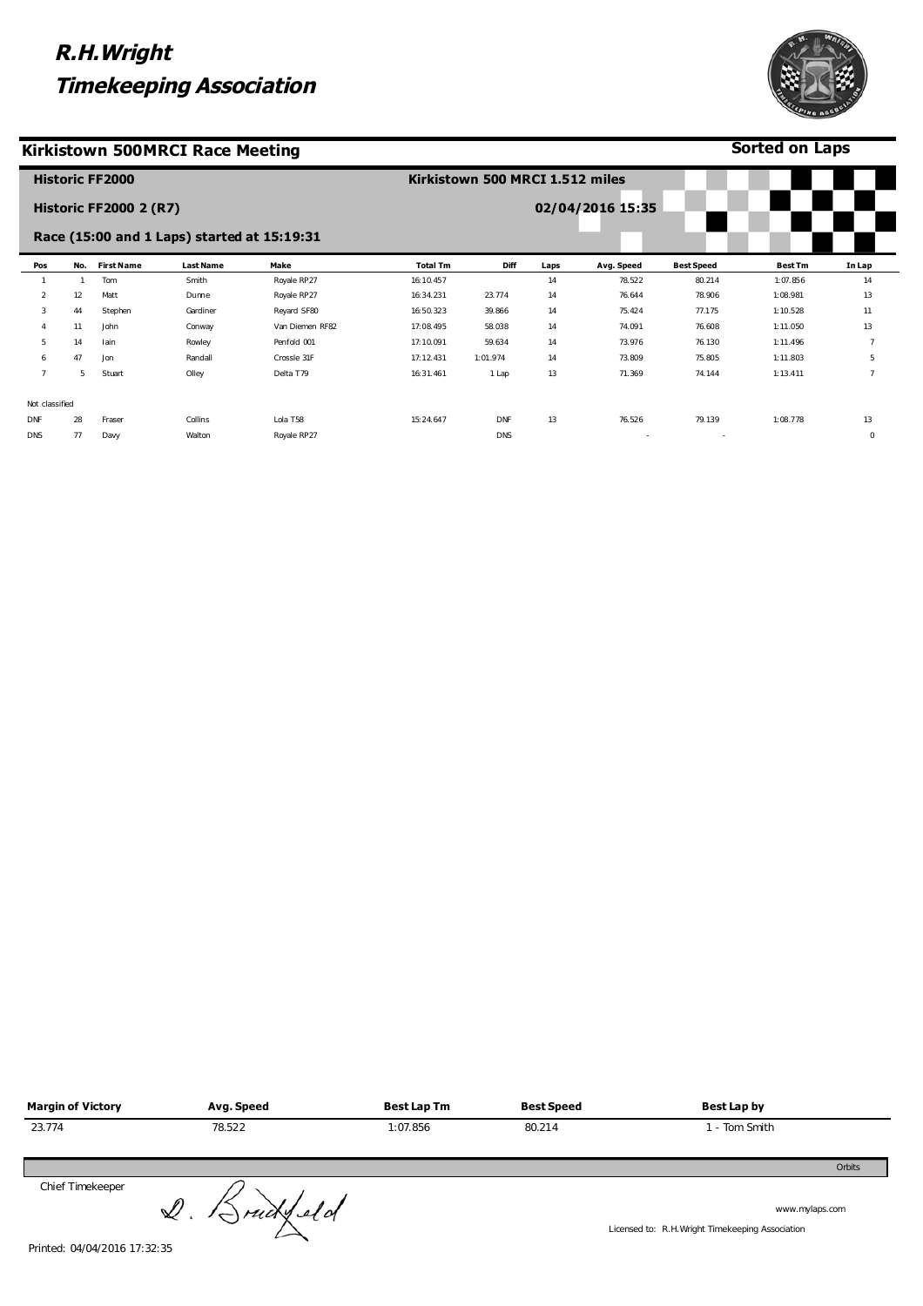Collins Walton Lola T58 Royale RP27

### **Kirkistown 500MRCI Race Meeting**

Not classified DNF DNS

28

77 Davy

Fraser

|                |     | <b>Historic FF2000</b>        |                                             |                 | Kirkistown 500 MRCI 1.512 miles |          |      |                  |                   |                |
|----------------|-----|-------------------------------|---------------------------------------------|-----------------|---------------------------------|----------|------|------------------|-------------------|----------------|
|                |     | <b>Historic FF2000 2 (R7)</b> |                                             |                 |                                 |          |      | 02/04/2016 15:35 |                   |                |
|                |     |                               | Race (15:00 and 1 Laps) started at 15:19:31 |                 |                                 |          |      |                  |                   |                |
| Pos            | No. | <b>First Name</b>             | <b>Last Name</b>                            | Make            | <b>Total Tm</b>                 | Diff     | Laps | Avg. Speed       | <b>Best Speed</b> | <b>Best Tm</b> |
|                |     | Tom                           | Smith                                       | Royale RP27     | 16:10.457                       |          | 14   | 78.522           | 80.214            | 1:07.856       |
| $\overline{2}$ | 12  | Matt                          | Dunne                                       | Royale RP27     | 16:34.231                       | 23.774   | 14   | 76.644           | 78.906            | 1:08.981       |
| 3              | 44  | Stephen                       | Gardiner                                    | Reyard SF80     | 16:50.323                       | 39.866   | 14   | 75.424           | 77.175            | 1:10.528       |
|                | 11  | John                          | Conway                                      | Van Diemen RF82 | 17:08.495                       | 58.038   | 14   | 74.091           | 76.608            | 1:11.050       |
| 5              | 14  | lain                          | Rowley                                      | Penfold 001     | 17:10.091                       | 59.634   | 14   | 73.976           | 76.130            | 1:11.496       |
| 6              | 47  | Jon                           | Randall                                     | Crossle 31F     | 17:12.431                       | 1:01.974 | 14   | 73.809           | 75.805            | 1:11.803       |
|                | 5   | Stuart                        | Olley                                       | Delta T79       | 16:31.461                       | 1 Lap    | 13   | 71.369           | 74.144            | 1:13.411       |

15:24.647

DNF DNS 13

76.526 - 79.139 - 1:08.778

| <b>Margin of Victory</b> | Avg. Speed | <b>Best Lap Tm</b> | <b>Best Speed</b> | Best Lap by |        |
|--------------------------|------------|--------------------|-------------------|-------------|--------|
| 23.774                   | 78.522     | 1:07.856           | 80.214            | - Tom Smith |        |
|                          |            |                    |                   |             | Orbits |
| Chief Timekeeper         | $\Omega$   |                    |                   |             |        |

 $2.$  Sruckled of

www.mylaps.com

Licensed to: R.H.Wright Timekeeping Association



**Sorted on Laps**

> 13 0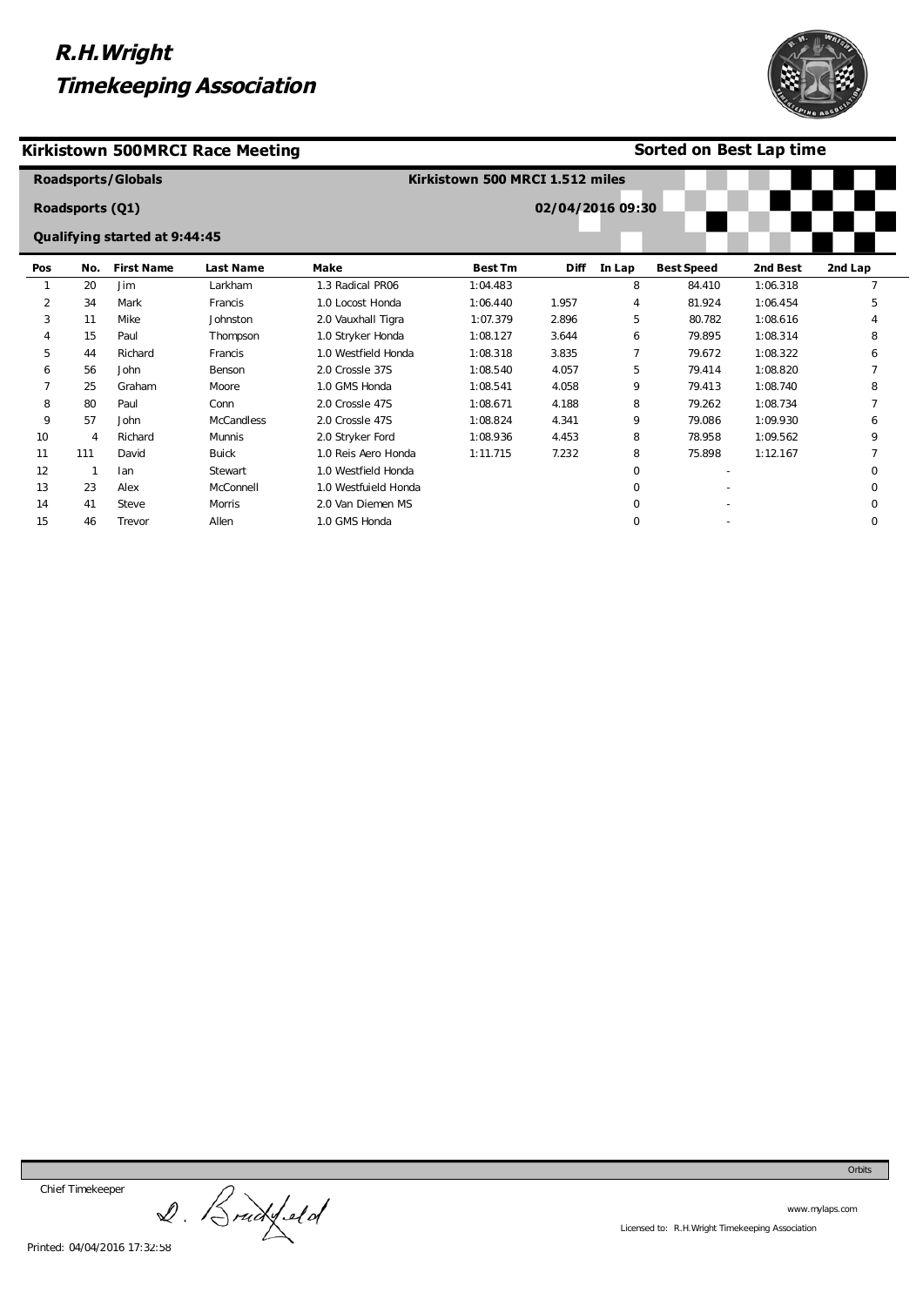#### **Kirkistown 500MRCI Race Meeting**

**Sorted on Best Lap time**

|     | <b>Roadsports/Globals</b> |                               |                   | Kirkistown 500 MRCI 1.512 miles |                |                  |             |                   |          |          |
|-----|---------------------------|-------------------------------|-------------------|---------------------------------|----------------|------------------|-------------|-------------------|----------|----------|
|     | <b>Roadsports (Q1)</b>    |                               |                   |                                 |                | 02/04/2016 09:30 |             |                   |          |          |
|     |                           | Qualifying started at 9:44:45 |                   |                                 |                |                  |             |                   |          |          |
| Pos | No.                       | <b>First Name</b>             | <b>Last Name</b>  | Make                            | <b>Best Tm</b> | <b>Diff</b>      | In Lap      | <b>Best Speed</b> | 2nd Best | 2nd Lap  |
|     | 20                        | Jim                           | Larkham           | 1.3 Radical PR06                | 1:04.483       |                  | 8           | 84.410            | 1:06.318 |          |
| 2   | 34                        | Mark                          | Francis           | 1.0 Locost Honda                | 1:06.440       | 1.957            | 4           | 81.924            | 1:06.454 | 5        |
| 3   | 11                        | Mike                          | Johnston          | 2.0 Vauxhall Tigra              | 1:07.379       | 2.896            | 5           | 80.782            | 1:08.616 |          |
| 4   | 15                        | Paul                          | Thompson          | 1.0 Stryker Honda               | 1:08.127       | 3.644            | 6           | 79.895            | 1:08.314 | 8        |
| 5   | 44                        | Richard                       | Francis           | 1.0 Westfield Honda             | 1:08.318       | 3.835            | 7           | 79.672            | 1:08.322 | 6        |
| 6   | 56                        | John                          | Benson            | 2.0 Crossle 37S                 | 1:08.540       | 4.057            | 5           | 79.414            | 1:08.820 |          |
|     | 25                        | Graham                        | Moore             | 1.0 GMS Honda                   | 1:08.541       | 4.058            | 9           | 79.413            | 1:08.740 | 8        |
| 8   | 80                        | Paul                          | Conn              | 2.0 Crossle 47S                 | 1:08.671       | 4.188            | 8           | 79.262            | 1:08.734 |          |
| 9   | 57                        | John                          | <b>McCandless</b> | 2.0 Crossle 47S                 | 1:08.824       | 4.341            | 9           | 79.086            | 1:09.930 | 6        |
| 10  | 4                         | Richard                       | Munnis            | 2.0 Stryker Ford                | 1:08.936       | 4.453            | 8           | 78.958            | 1:09.562 |          |
| 11  | 111                       | David                         | <b>Buick</b>      | 1.0 Reis Aero Honda             | 1:11.715       | 7.232            | 8           | 75.898            | 1:12.167 |          |
| 12  |                           | lan                           | Stewart           | 1.0 Westfield Honda             |                |                  | $\Omega$    |                   |          |          |
| 13  | 23                        | Alex                          | McConnell         | 1.0 Westfuield Honda            |                |                  | $\Omega$    |                   |          | ∩        |
| 14  | 41                        | Steve                         | <b>Morris</b>     | 2.0 Van Diemen MS               |                |                  | $\mathbf 0$ |                   |          | 0        |
| 15  | 46                        | Trevor                        | Allen             | 1.0 GMS Honda                   |                |                  | $\mathbf 0$ |                   |          | $\Omega$ |

Chief Timekeeper

Chief Timekeeper<br>2. Brackfeld



Orbits

www.mylaps.com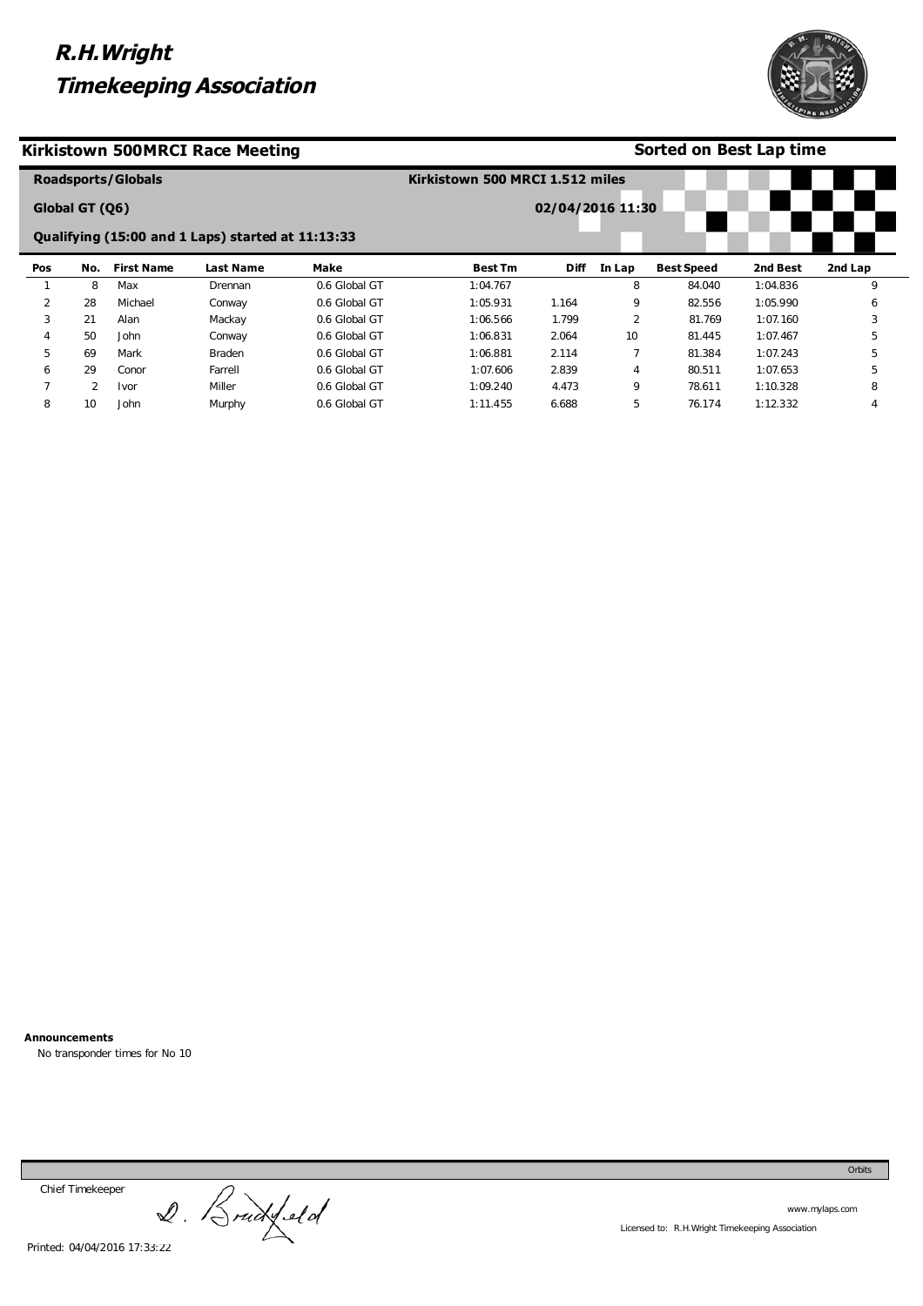

### **Kirkistown 500MRCI Race Meeting**

### **Sorted on Best Lap time**

|                |                | <b>Roadsports/Globals</b> |                                                   |               | Kirkistown 500 MRCI 1.512 miles |                  |                |                   |          |         |
|----------------|----------------|---------------------------|---------------------------------------------------|---------------|---------------------------------|------------------|----------------|-------------------|----------|---------|
|                | Global GT (06) |                           |                                                   |               |                                 | 02/04/2016 11:30 |                |                   |          |         |
|                |                |                           | Qualifying (15:00 and 1 Laps) started at 11:13:33 |               |                                 |                  |                |                   |          |         |
| Pos            | No.            | <b>First Name</b>         | Last Name                                         | Make          | <b>Best Tm</b>                  | <b>Diff</b>      | In Lap         | <b>Best Speed</b> | 2nd Best | 2nd Lap |
|                | 8              | Max                       | Drennan                                           | 0.6 Global GT | 1:04.767                        |                  | 8              | 84.040            | 1:04.836 | 9       |
| 2              | 28             | Michael                   | Conway                                            | 0.6 Global GT | 1:05.931                        | 1.164            | 9              | 82.556            | 1:05.990 | 6       |
| 3              | 21             | Alan                      | Mackay                                            | 0.6 Global GT | 1:06.566                        | 1.799            | $\overline{2}$ | 81.769            | 1:07.160 | 3       |
| $\overline{4}$ | 50             | John                      | Conway                                            | 0.6 Global GT | 1:06.831                        | 2.064            | 10             | 81.445            | 1:07.467 | 5       |
| 5              | 69             | Mark                      | <b>Braden</b>                                     | 0.6 Global GT | 1:06.881                        | 2.114            |                | 81.384            | 1:07.243 | 5       |
| 6              | 29             | Conor                     | Farrell                                           | 0.6 Global GT | 1:07.606                        | 2.839            | 4              | 80.511            | 1:07.653 | 5       |
|                | 2              | Ivor                      | Miller                                            | 0.6 Global GT | 1:09.240                        | 4.473            | 9              | 78.611            | 1:10.328 | 8       |
| 8              | 10             | John                      | Murphy                                            | 0.6 Global GT | 1:11.455                        | 6.688            | 5              | 76.174            | 1:12.332 |         |

**Announcements** 

No transponder times for No 10

Chief Timekeeper

Chief Timekeeper<br>2. Bruckfeld

Orbits

www.mylaps.com Licensed to: R.H.Wright Timekeeping Association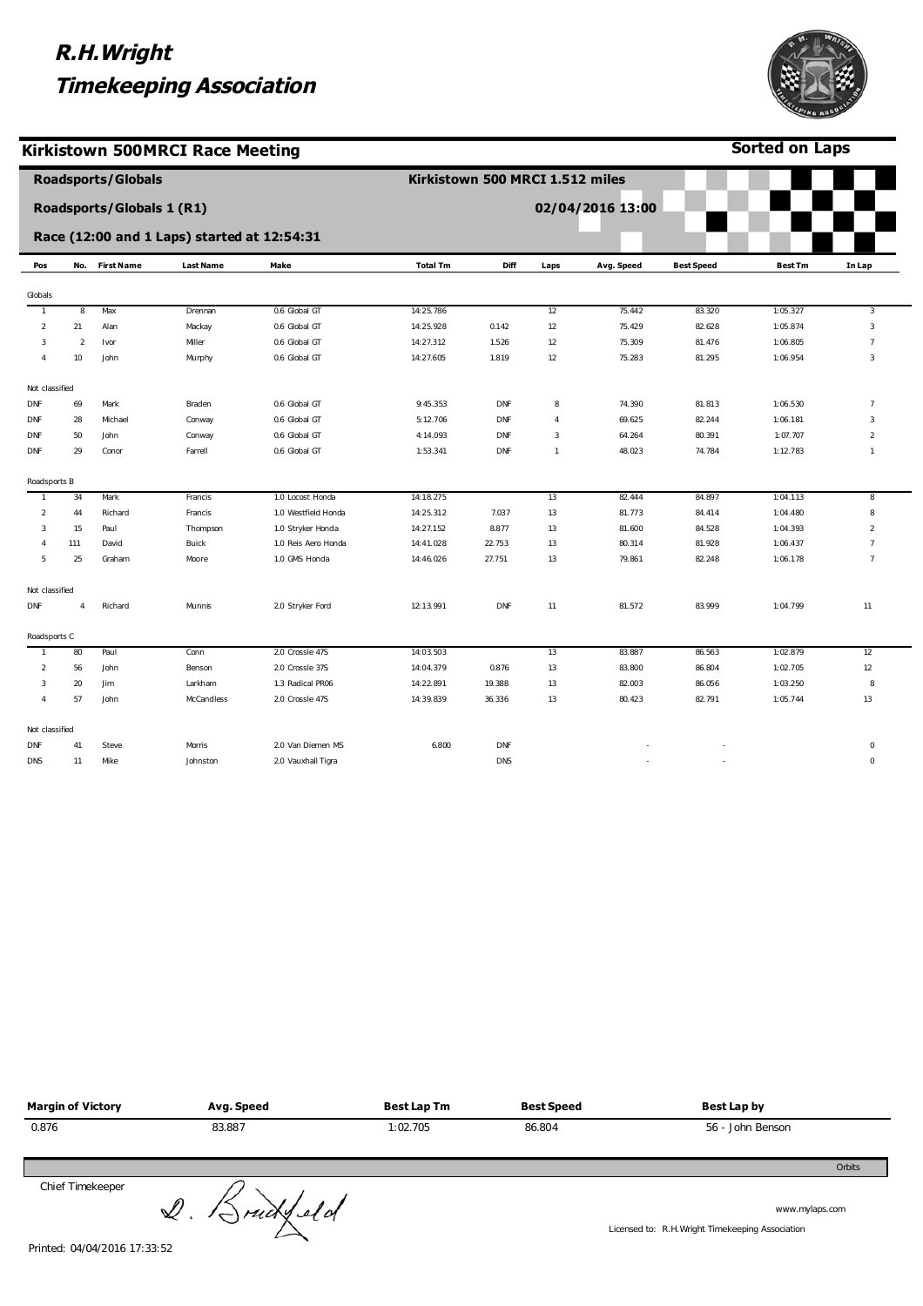

 $\overline{\phantom{a}}$ 

**Sorted on Laps**

#### **Kirkistown 500MRCI Race Meeting**

|                |                | <b>Roadsports/Globals</b>        |                                             |                     | Kirkistown 500 MRCI 1.512 miles |            |                |                  |                   |                |                |
|----------------|----------------|----------------------------------|---------------------------------------------|---------------------|---------------------------------|------------|----------------|------------------|-------------------|----------------|----------------|
|                |                | <b>Roadsports/Globals 1 (R1)</b> |                                             |                     |                                 |            |                | 02/04/2016 13:00 |                   |                |                |
|                |                |                                  | Race (12:00 and 1 Laps) started at 12:54:31 |                     |                                 |            |                |                  |                   |                |                |
| Pos            |                | No. First Name                   | <b>Last Name</b>                            | Make                | <b>Total Tm</b>                 | Diff       | Laps           | Avg. Speed       | <b>Best Speed</b> | <b>Best Tm</b> | In Lap         |
| Globals        |                |                                  |                                             |                     |                                 |            |                |                  |                   |                |                |
| $\mathbf{1}$   | 8              | Max                              | Drennan                                     | 0.6 Global GT       | 14:25.786                       |            | 12             | 75.442           | 83.320            | 1:05.327       | $\overline{3}$ |
| $\overline{2}$ | 21             | Alan                             | Mackay                                      | 0.6 Global GT       | 14:25.928                       | 0.142      | 12             | 75.429           | 82.628            | 1:05.874       | $_{3}$         |
| 3              | $\overline{2}$ | Ivor                             | Miller                                      | 0.6 Global GT       | 14:27.312                       | 1.526      | 12             | 75.309           | 81.476            | 1:06.805       | $\overline{7}$ |
| $\overline{4}$ | 10             | John                             | Murphy                                      | 0.6 Global GT       | 14:27.605                       | 1.819      | 12             | 75.283           | 81.295            | 1:06.954       | $\sqrt{3}$     |
| Not classified |                |                                  |                                             |                     |                                 |            |                |                  |                   |                |                |
| DNF            | 69             | Mark                             | Braden                                      | 0.6 Global GT       | 9:45.353                        | DNF        | $^{\rm 8}$     | 74.390           | 81.813            | 1:06.530       | $\overline{7}$ |
| DNF            | 28             | Michael                          | Conway                                      | 0.6 Global GT       | 5:12.706                        | DNF        | $\overline{4}$ | 69.625           | 82.244            | 1:06.181       | 3              |
| <b>DNF</b>     | 50             | John                             | Conway                                      | 0.6 Global GT       | 4:14.093                        | DNF        | $\mathsf 3$    | 64.264           | 80.391            | 1:07.707       | $\overline{2}$ |
| DNF            | 29             | Conor                            | Farrell                                     | 0.6 Global GT       | 1:53.341                        | DNF        | $\mathbf{1}$   | 48.023           | 74.784            | 1:12.783       | $\mathbf{1}$   |
| Roadsports B   |                |                                  |                                             |                     |                                 |            |                |                  |                   |                |                |
| $\overline{1}$ | 34             | Mark                             | Francis                                     | 1.0 Locost Honda    | 14:18.275                       |            | 13             | 82.444           | 84.897            | 1:04.113       | 8              |
| $\overline{2}$ | 44             | Richard                          | Francis                                     | 1.0 Westfield Honda | 14:25.312                       | 7.037      | 13             | 81.773           | 84.414            | 1:04.480       | 8              |
| 3              | 15             | Paul                             | Thompson                                    | 1.0 Stryker Honda   | 14:27.152                       | 8.877      | 13             | 81.600           | 84.528            | 1:04.393       | $\overline{2}$ |
|                | 111            | David                            | Buick                                       | 1.0 Reis Aero Honda | 14:41.028                       | 22.753     | 13             | 80.314           | 81.928            | 1:06.437       | $\overline{7}$ |
| 5              | 25             | Graham                           | Moore                                       | 1.0 GMS Honda       | 14:46.026                       | 27.751     | 13             | 79.861           | 82.248            | 1:06.178       | $\overline{7}$ |
| Not classified |                |                                  |                                             |                     |                                 |            |                |                  |                   |                |                |
| DNF            | $\overline{4}$ | Richard                          | Munnis                                      | 2.0 Stryker Ford    | 12:13.991                       | <b>DNF</b> | 11             | 81.572           | 83.999            | 1:04.799       | 11             |
| Roadsports C   |                |                                  |                                             |                     |                                 |            |                |                  |                   |                |                |
| $\mathbf{1}$   | 80             | Paul                             | Conn                                        | 2.0 Crossle 47S     | 14:03.503                       |            | 13             | 83.887           | 86.563            | 1:02.879       | 12             |
| $\overline{2}$ | 56             | John                             | Benson                                      | 2.0 Crossle 37S     | 14:04.379                       | 0.876      | 13             | 83.800           | 86.804            | 1:02.705       | 12             |
| 3              | 20             | Jim                              | Larkham                                     | 1.3 Radical PR06    | 14:22.891                       | 19.388     | 13             | 82.003           | 86.056            | 1:03.250       | 8              |
| $\overline{4}$ | 57             | John                             | McCandless                                  | 2.0 Crossle 47S     | 14:39.839                       | 36.336     | 13             | 80.423           | 82.791            | 1:05.744       | 13             |
| Not classified |                |                                  |                                             |                     |                                 |            |                |                  |                   |                |                |
| <b>DNF</b>     | 41             | Steve                            | Morris                                      | 2.0 Van Diemen MS   | 6.800                           | DNF        |                |                  |                   |                | $\bf{0}$       |
| <b>DNS</b>     | 11             | Mike                             | Johnston                                    | 2.0 Vauxhall Tigra  |                                 | <b>DNS</b> |                |                  |                   |                | $\mathbf 0$    |

| <b>Margin of Victory</b> | Avg. Speed | Best Lap Tm | <b>Best Speed</b> | Best Lap by      |
|--------------------------|------------|-------------|-------------------|------------------|
| 0.876                    | 83.887     | 1:02.705    | 86.804            | 56 - John Benson |
|                          |            |             |                   | Orbits           |
| Chief Timekeeper         |            |             |                   |                  |

Chief Timekeeper

Chief Timekeeper<br>Printed: 04/04/2016 17:33:52

www.mylaps.com

Licensed to: R.H.Wright Timekeeping Association